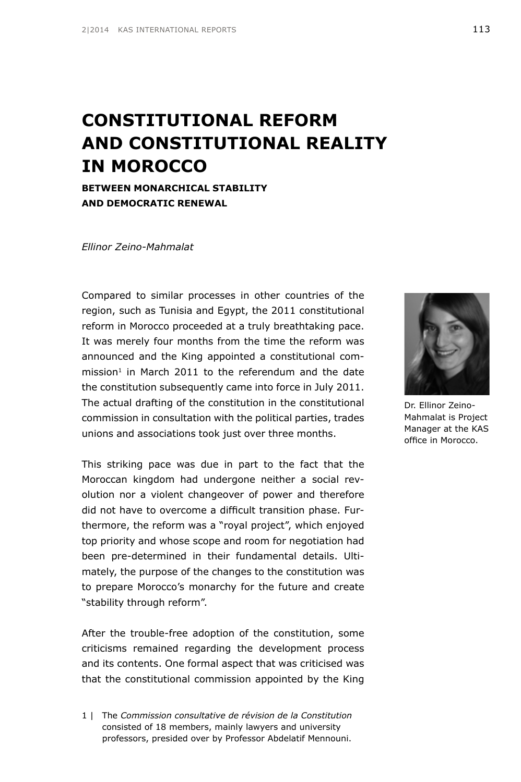# **CONSTITUTIONAL REFORM AND CONSTITUTIONAL REALITY IN MOROCCO**

**BETWEEN MONARCHICAL STABILITY AND DEMOCRATIC RENEWAL**

*Ellinor Zeino-Mahmalat*

Compared to similar processes in other countries of the region, such as Tunisia and Egypt, the 2011 constitutional reform in Morocco proceeded at a truly breathtaking pace. It was merely four months from the time the reform was announced and the King appointed a constitutional com $mission<sup>1</sup>$  in March 2011 to the referendum and the date the constitution subsequently came into force in July 2011. The actual drafting of the constitution in the constitutional commission in consultation with the political parties, trades unions and associations took just over three months.

This striking pace was due in part to the fact that the Moroccan kingdom had undergone neither a social revolution nor a violent changeover of power and therefore did not have to overcome a difficult transition phase. Furthermore, the reform was a "royal project", which enjoyed top priority and whose scope and room for negotiation had been pre-determined in their fundamental details. Ultimately, the purpose of the changes to the constitution was to prepare Morocco's monarchy for the future and create "stability through reform".

After the trouble-free adoption of the constitution, some criticisms remained regarding the development process and its contents. One formal aspect that was criticised was that the constitutional commission appointed by the King

1 | The *Commission consultative de révision de la Constitution* consisted of 18 members, mainly lawyers and university professors, presided over by Professor Abdelatif Mennouni.



Dr. Ellinor Zeino-Mahmalat is Project Manager at the KAS office in Morocco.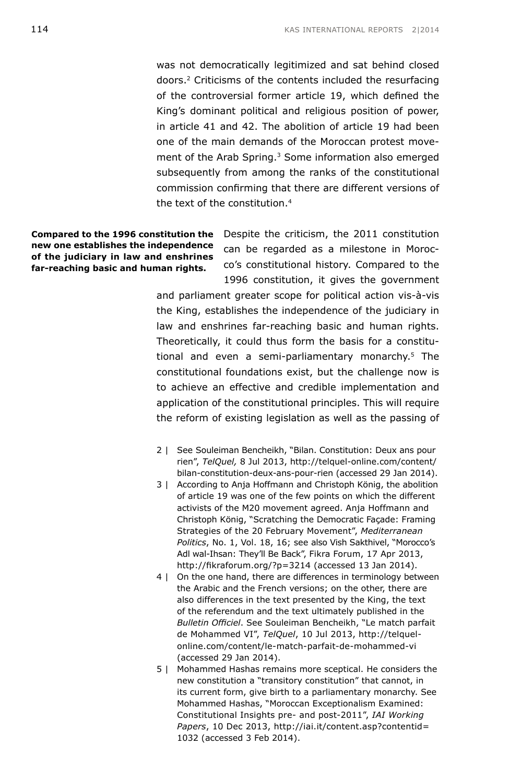was not democratically legitimized and sat behind closed doors.2 Criticisms of the contents included the resurfacing of the controversial former article 19, which defined the King's dominant political and religious position of power, in article 41 and 42. The abolition of article 19 had been one of the main demands of the Moroccan protest movement of the Arab Spring.<sup>3</sup> Some information also emerged subsequently from among the ranks of the constitutional commission confirming that there are different versions of the text of the constitution.4

**Compared to the 1996 constitution the new one establishes the independence of the judiciary in law and enshrines far-reaching basic and human rights.** 

Despite the criticism, the 2011 constitution can be regarded as a milestone in Morocco's constitutional history. Compared to the 1996 constitution, it gives the government

and parliament greater scope for political action vis-à-vis the King, establishes the independence of the judiciary in law and enshrines far-reaching basic and human rights. Theoretically, it could thus form the basis for a constitutional and even a semi-parliamentary monarchy.<sup>5</sup> The constitutional foundations exist, but the challenge now is to achieve an effective and credible implementation and application of the constitutional principles. This will require the reform of existing legislation as well as the passing of

- 2 | See Souleiman Bencheikh, "Bilan. Constitution: Deux ans pour rien", *TelQuel,* 8 Jul 2013, http://telquel-online.com/content/ bilan-constitution-deux-ans-pour-rien (accessed 29 Jan 2014).
- 3 | According to Anja Hoffmann and Christoph König, the abolition of article 19 was one of the few points on which the different activists of the M20 movement agreed. Anja Hoffmann and Christoph König, "Scratching the Democratic Façade: Framing Strategies of the 20 February Movement", *Mediterranean Politics*, No. 1, Vol. 18, 16; see also Vish Sakthivel, "Morocco's Adl wal-Ihsan: They'll Be Back", Fikra Forum, 17 Apr 2013, <http://fikraforum.org/?p=3214> (accessed 13 Jan 2014).
- 4 | On the one hand, there are differences in terminology between the Arabic and the French versions; on the other, there are also differences in the text presented by the King, the text of the referendum and the text ultimately published in the *Bulletin Officiel*. See Souleiman Bencheikh, "Le match parfait de Mohammed VI", *TelQuel*, 10 Jul 2013, [http://telquel](http://telquel-online.com/content/le-match-parfait-de-mohammed-vi)[online.com/content/le-match-parfait-de-mohammed-vi](http://telquel-online.com/content/le-match-parfait-de-mohammed-vi) (accessed 29 Jan 2014).
- 5 | Mohammed Hashas remains more sceptical. He considers the new constitution a "transitory constitution" that cannot, in its current form, give birth to a parliamentary monarchy. See Mohammed Hashas, "Moroccan Exceptionalism Examined: Constitutional Insights pre- and post-2011", *IAI Working Papers*, 10 Dec 2013, [http://iai.it/content.asp?contentid=](http://iai.it/content.asp?contentid=1032) [1032](http://iai.it/content.asp?contentid=1032) (accessed 3 Feb 2014).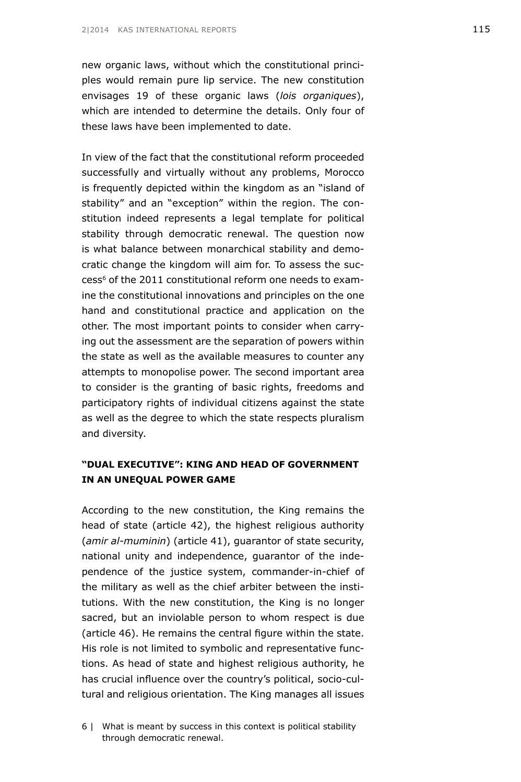new organic laws, without which the constitutional principles would remain pure lip service. The new constitution envisages 19 of these organic laws (*lois organiques*), which are intended to determine the details. Only four of these laws have been implemented to date.

In view of the fact that the constitutional reform proceeded successfully and virtually without any problems, Morocco is frequently depicted within the kingdom as an "island of stability" and an "exception" within the region. The constitution indeed represents a legal template for political stability through democratic renewal. The question now is what balance between monarchical stability and democratic change the kingdom will aim for. To assess the success<sup>6</sup> of the 2011 constitutional reform one needs to examine the constitutional innovations and principles on the one hand and constitutional practice and application on the other. The most important points to consider when carrying out the assessment are the separation of powers within the state as well as the available measures to counter any attempts to monopolise power. The second important area to consider is the granting of basic rights, freedoms and participatory rights of individual citizens against the state as well as the degree to which the state respects pluralism and diversity.

### **"DUAL EXECUTIVE": KING AND HEAD OF GOVERNMENT IN AN UNEQUAL POWER GAME**

According to the new constitution, the King remains the head of state (article 42), the highest religious authority (*amir al-muminin*) (article 41), guarantor of state security, national unity and independence, guarantor of the independence of the justice system, commander-in-chief of the military as well as the chief arbiter between the institutions. With the new constitution, the King is no longer sacred, but an inviolable person to whom respect is due (article 46). He remains the central figure within the state. His role is not limited to symbolic and representative functions. As head of state and highest religious authority, he has crucial influence over the country's political, socio-cultural and religious orientation. The King manages all issues

<sup>6 |</sup> What is meant by success in this context is political stability through democratic renewal.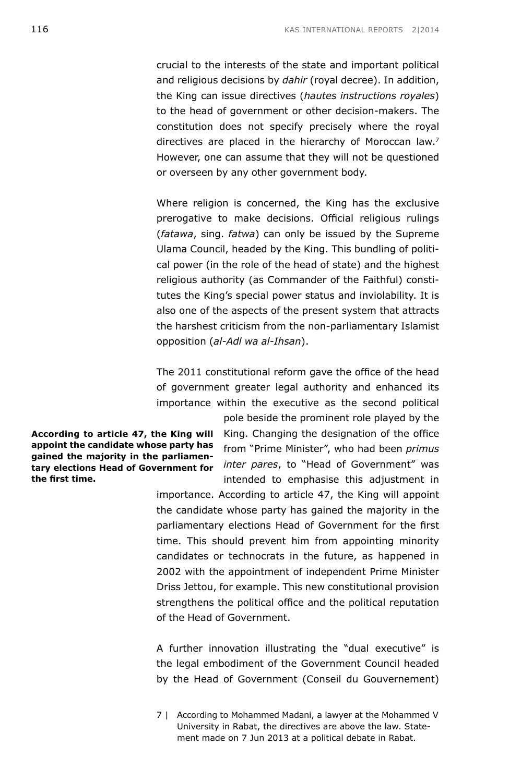crucial to the interests of the state and important political and religious decisions by *dahir* (royal decree). In addition, the King can issue directives (*hautes instructions royales*) to the head of government or other decision-makers. The constitution does not specify precisely where the royal directives are placed in the hierarchy of Moroccan law.<sup>7</sup> However, one can assume that they will not be questioned or overseen by any other government body.

Where religion is concerned, the King has the exclusive prerogative to make decisions. Official religious rulings (*fatawa*, sing. *fatwa*) can only be issued by the Supreme Ulama Council, headed by the King. This bundling of political power (in the role of the head of state) and the highest religious authority (as Commander of the Faithful) constitutes the King's special power status and inviolability. It is also one of the aspects of the present system that attracts the harshest criticism from the non-parliamentary Islamist opposition (*al-Adl wa al-Ihsan*).

The 2011 constitutional reform gave the office of the head of government greater legal authority and enhanced its importance within the executive as the second political

**According to article 47, the King will appoint the candidate whose party has gained the majority in the parliamentary elections Head of Government for the first time.**

King. Changing the designation of the office from "Prime Minister", who had been *primus inter pares*, to "Head of Government" was intended to emphasise this adjustment in

pole beside the prominent role played by the

importance. According to article 47, the King will appoint the candidate whose party has gained the majority in the parliamentary elections Head of Government for the first time. This should prevent him from appointing minority candidates or technocrats in the future, as happened in 2002 with the appointment of independent Prime Minister Driss Jettou, for example. This new constitutional provision strengthens the political office and the political reputation of the Head of Government.

A further innovation illustrating the "dual executive" is the legal embodiment of the Government Council headed by the Head of Government (Conseil du Gouvernement)

7 | According to Mohammed Madani, a lawyer at the Mohammed V University in Rabat, the directives are above the law. Statement made on 7 Jun 2013 at a political debate in Rabat.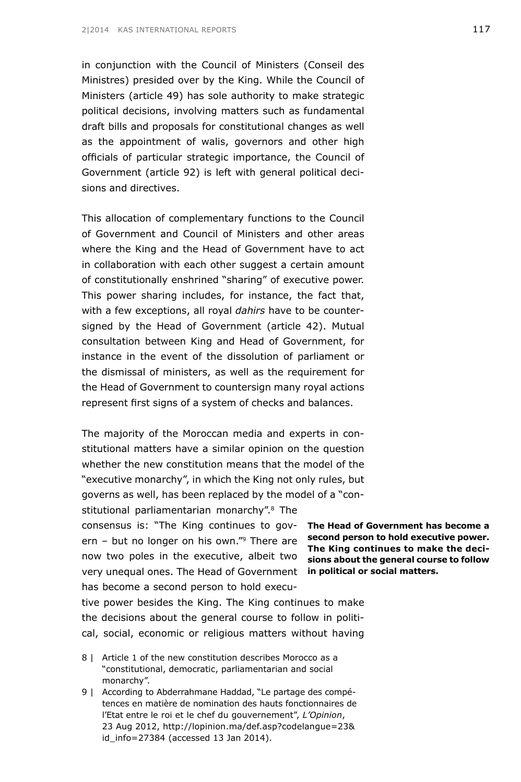in conjunction with the Council of Ministers (Conseil des Ministres) presided over by the King. While the Council of Ministers (article 49) has sole authority to make strategic political decisions, involving matters such as fundamental draft bills and proposals for constitutional changes as well as the appointment of walis, governors and other high officials of particular strategic importance, the Council of Government (article 92) is left with general political decisions and directives.

This allocation of complementary functions to the Council of Government and Council of Ministers and other areas where the King and the Head of Government have to act in collaboration with each other suggest a certain amount of constitutionally enshrined "sharing" of executive power. This power sharing includes, for instance, the fact that, with a few exceptions, all royal *dahirs* have to be countersigned by the Head of Government (article 42). Mutual consultation between King and Head of Government, for instance in the event of the dissolution of parliament or the dismissal of ministers, as well as the requirement for the Head of Government to countersign many royal actions represent first signs of a system of checks and balances.

The majority of the Moroccan media and experts in constitutional matters have a similar opinion on the question whether the new constitution means that the model of the "executive monarchy", in which the King not only rules, but governs as well, has been replaced by the model of a "constitutional parliamentarian monarchy".<sup>8</sup> The consensus is: "The King continues to gov-**The Head of Government has become a**  ern – but no longer on his own."9 There are **second person to hold executive power.**  now two poles in the executive, albeit two **sions about the general course to follow**  very unequal ones. The Head of Government **in political or social matters.**has become a second person to hold executive power besides the King. The King continues to make the decisions about the general course to follow in political, social, economic or religious matters without having

- 8 | Article 1 of the new constitution describes Morocco as a "constitutional, democratic, parliamentarian and social monarchy".
- 9 | According to Abderrahmane Haddad, "Le partage des compétences en matière de nomination des hauts fonctionnaires de l'Etat entre le roi et le chef du gouvernement", *L'Opinion*, 23 Aug 2012, [http://lopinion.ma/def.asp?codelangue=23&](http://lopinion.ma/def.asp?codelangue=23&id_info=27384) [id\\_info=27384](http://lopinion.ma/def.asp?codelangue=23&id_info=27384) (accessed 13 Jan 2014).

**The King continues to make the deci-**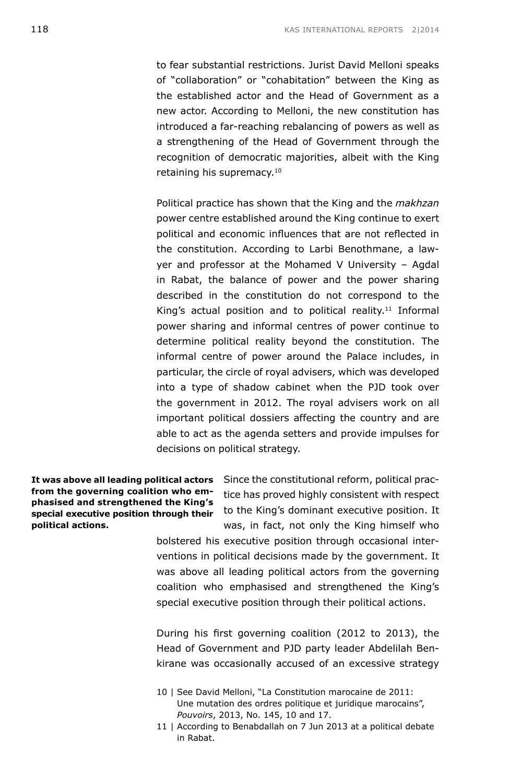to fear substantial restrictions. Jurist David Melloni speaks of "collaboration" or "cohabitation" between the King as the established actor and the Head of Government as a new actor. According to Melloni, the new constitution has introduced a far-reaching rebalancing of powers as well as a strengthening of the Head of Government through the recognition of democratic majorities, albeit with the King retaining his supremacy.<sup>10</sup>

Political practice has shown that the King and the *makhzan* power centre established around the King continue to exert political and economic influences that are not reflected in the constitution. According to Larbi Benothmane, a lawyer and professor at the Mohamed V University – Agdal in Rabat, the balance of power and the power sharing described in the constitution do not correspond to the King's actual position and to political reality.<sup>11</sup> Informal power sharing and informal centres of power continue to determine political reality beyond the constitution. The informal centre of power around the Palace includes, in particular, the circle of royal advisers, which was developed into a type of shadow cabinet when the PJD took over the government in 2012. The royal advisers work on all important political dossiers affecting the country and are able to act as the agenda setters and provide impulses for decisions on political strategy.

**It was above all leading political actors from the governing coalition who emphasised and strengthened the King's special executive position through their political actions.**

Since the constitutional reform, political practice has proved highly consistent with respect to the King's dominant executive position. It was, in fact, not only the King himself who

bolstered his executive position through occasional interventions in political decisions made by the government. It was above all leading political actors from the governing coalition who emphasised and strengthened the King's special executive position through their political actions.

During his first governing coalition (2012 to 2013), the Head of Government and PJD party leader Abdelilah Benkirane was occasionally accused of an excessive strategy

- 10 | See David Melloni, "La Constitution marocaine de 2011: Une mutation des ordres politique et juridique marocains", *Pouvoirs*, 2013, No. 145, 10 and 17.
- 11 | According to Benabdallah on 7 Jun 2013 at a political debate in Rabat.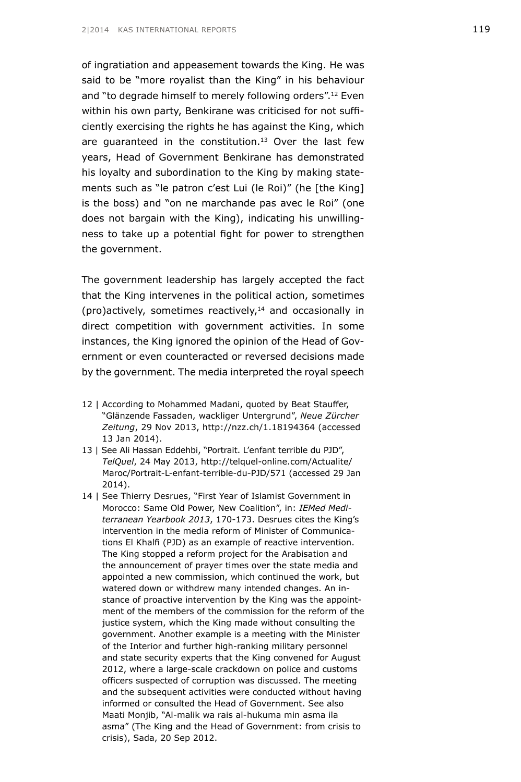of ingratiation and appeasement towards the King. He was said to be "more royalist than the King" in his behaviour and "to degrade himself to merely following orders".12 Even within his own party, Benkirane was criticised for not sufficiently exercising the rights he has against the King, which are quaranteed in the constitution.<sup>13</sup> Over the last few years, Head of Government Benkirane has demonstrated his loyalty and subordination to the King by making statements such as "le patron c'est Lui (le Roi)" (he [the King] is the boss) and "on ne marchande pas avec le Roi" (one does not bargain with the King), indicating his unwillingness to take up a potential fight for power to strengthen the government.

The government leadership has largely accepted the fact that the King intervenes in the political action, sometimes (pro)actively, sometimes reactively,14 and occasionally in direct competition with government activities. In some instances, the King ignored the opinion of the Head of Government or even counteracted or reversed decisions made by the government. The media interpreted the royal speech

- 12 | According to Mohammed Madani, quoted by Beat Stauffer, "Glänzende Fassaden, wackliger Untergrund", *Neue Zürcher Zeitung*, 29 Nov 2013, <http://nzz.ch/1.18194364> (accessed 13 Jan 2014).
- 13 | See Ali Hassan Eddehbi, "Portrait. L'enfant terrible du PJD", *TelQuel*, 24 May 2013, [http://telquel-online.com/Actualite/](http://telquel-online.com/Actualite/Maroc/Portrait-L-enfant-terrible-du-PJD/571) [Maroc/Portrait-L-enfant-terrible-du-PJD/571](http://telquel-online.com/Actualite/Maroc/Portrait-L-enfant-terrible-du-PJD/571) (accessed 29 Jan 2014).
- 14 | See Thierry Desrues, "First Year of Islamist Government in Morocco: Same Old Power, New Coalition", in: *IEMed Mediterranean Yearbook 2013*, 170-173. Desrues cites the King's intervention in the media reform of Minister of Communications El Khalfi (PJD) as an example of reactive intervention. The King stopped a reform project for the Arabisation and the announcement of prayer times over the state media and appointed a new commission, which continued the work, but watered down or withdrew many intended changes. An instance of proactive intervention by the King was the appointment of the members of the commission for the reform of the justice system, which the King made without consulting the government. Another example is a meeting with the Minister of the Interior and further high-ranking military personnel and state security experts that the King convened for August 2012, where a large-scale crackdown on police and customs officers suspected of corruption was discussed. The meeting and the subsequent activities were conducted without having informed or consulted the Head of Government. See also Maati Monjib, "Al-malik wa rais al-hukuma min asma ila asma" (The King and the Head of Government: from crisis to crisis), Sada, 20 Sep 2012.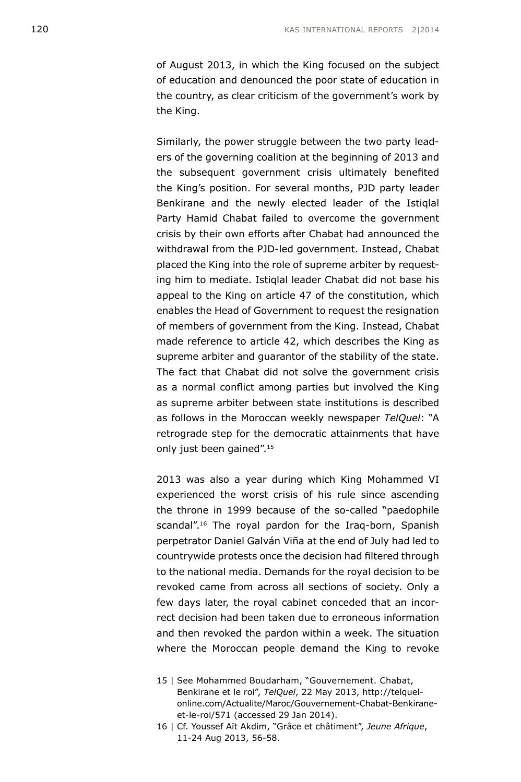of August 2013, in which the King focused on the subject of education and denounced the poor state of education in the country, as clear criticism of the government's work by the King.

Similarly, the power struggle between the two party leaders of the governing coalition at the beginning of 2013 and the subsequent government crisis ultimately benefited the King's position. For several months, PJD party leader Benkirane and the newly elected leader of the Istiqlal Party Hamid Chabat failed to overcome the government crisis by their own efforts after Chabat had announced the withdrawal from the PJD-led government. Instead, Chabat placed the King into the role of supreme arbiter by requesting him to mediate. Istiqlal leader Chabat did not base his appeal to the King on article 47 of the constitution, which enables the Head of Government to request the resignation of members of government from the King. Instead, Chabat made reference to article 42, which describes the King as supreme arbiter and guarantor of the stability of the state. The fact that Chabat did not solve the government crisis as a normal conflict among parties but involved the King as supreme arbiter between state institutions is described as follows in the Moroccan weekly newspaper *TelQuel*: "A retrograde step for the democratic attainments that have only just been gained".15

2013 was also a year during which King Mohammed VI experienced the worst crisis of his rule since ascending the throne in 1999 because of the so-called "paedophile scandal".<sup>16</sup> The royal pardon for the Iraq-born, Spanish perpetrator Daniel Galván Viña at the end of July had led to countrywide protests once the decision had filtered through to the national media. Demands for the royal decision to be revoked came from across all sections of society. Only a few days later, the royal cabinet conceded that an incorrect decision had been taken due to erroneous information and then revoked the pardon within a week. The situation where the Moroccan people demand the King to revoke

<sup>15 |</sup> See Mohammed Boudarham, "Gouvernement. Chabat, Benkirane et le roi", *TelQuel*, 22 May 2013, [http://telquel](http://telquel-online.com/Actualite/Maroc/Gouvernement-Chabat-Benkirane-et-le-roi/571)[online.com/Actualite/Maroc/Gouvernement-Chabat-Benkirane](http://telquel-online.com/Actualite/Maroc/Gouvernement-Chabat-Benkirane-et-le-roi/571)[et-le-roi/571](http://telquel-online.com/Actualite/Maroc/Gouvernement-Chabat-Benkirane-et-le-roi/571) (accessed 29 Jan 2014).

<sup>16 |</sup> Cf. Youssef Aït Akdim, "Grâce et châtiment", *Jeune Afrique*, 11-24 Aug 2013, 56-58.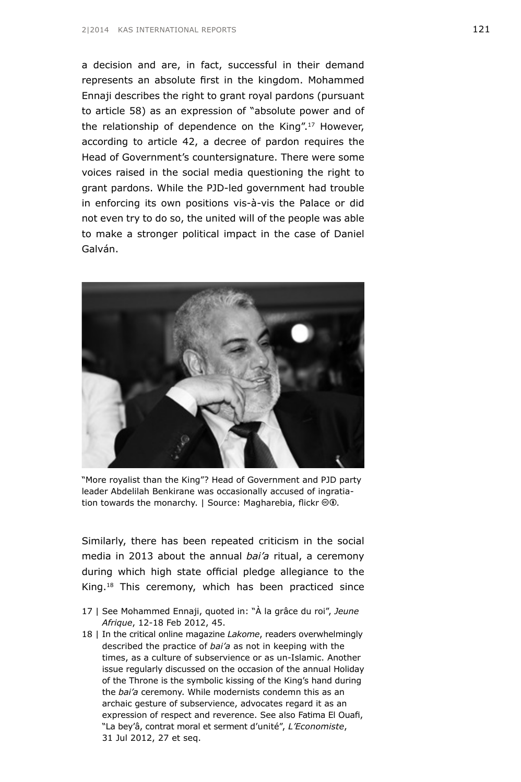a decision and are, in fact, successful in their demand represents an absolute first in the kingdom. Mohammed Ennaji describes the right to grant royal pardons (pursuant to article 58) as an expression of "absolute power and of the relationship of dependence on the King".<sup>17</sup> However, according to article 42, a decree of pardon requires the Head of Government's countersignature. There were some voices raised in the social media questioning the right to grant pardons. While the PJD-led government had trouble in enforcing its own positions vis-à-vis the Palace or did not even try to do so, the united will of the people was able to make a stronger political impact in the case of Daniel Galván.



"More royalist than the King"? Head of Government and PJD party leader Abdelilah Benkirane was occasionally accused of ingratiation towards the monarchy. | Source: Magharebia, flickr $\Theta\Phi$ .

Similarly, there has been repeated criticism in the social media in 2013 about the annual *bai'a* ritual, a ceremony during which high state official pledge allegiance to the King.<sup>18</sup> This ceremony, which has been practiced since

- 17 | See Mohammed Ennaji, quoted in: "À la grâce du roi", *Jeune Afrique*, 12-18 Feb 2012, 45.
- 18 | In the critical online magazine *Lakome*, readers overwhelmingly described the practice of *bai'a* as not in keeping with the times, as a culture of subservience or as un-Islamic. Another issue regularly discussed on the occasion of the annual Holiday of the Throne is the symbolic kissing of the King's hand during the *bai'a* ceremony. While modernists condemn this as an archaic gesture of subservience, advocates regard it as an expression of respect and reverence. See also Fatima El Ouafi, "La bey'â, contrat moral et serment d'unité", *L'Economiste*, 31 Jul 2012, 27 et seq.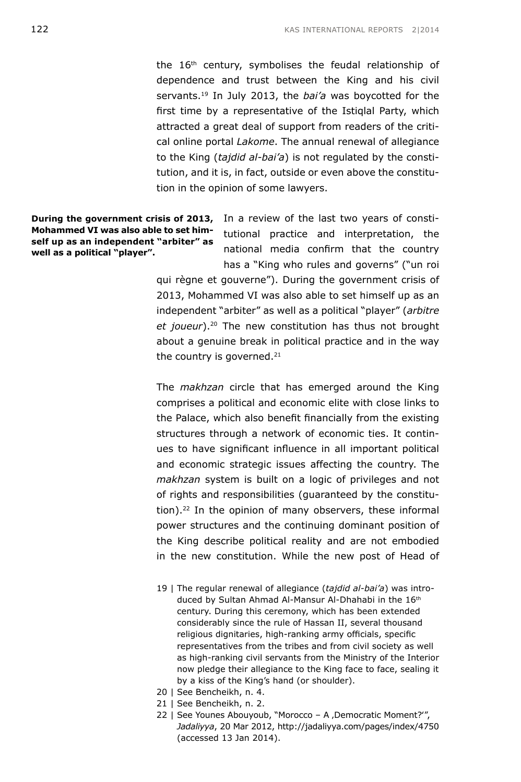the 16<sup>th</sup> century, symbolises the feudal relationship of dependence and trust between the King and his civil servants.19 In July 2013, the *bai'a* was boycotted for the first time by a representative of the Istiqlal Party, which attracted a great deal of support from readers of the critical online portal *Lakome*. The annual renewal of allegiance to the King (*tajdid al-bai'a*) is not regulated by the constitution, and it is, in fact, outside or even above the constitution in the opinion of some lawyers.

**Mohammed VI was also able to set himself up as an independent "arbiter" as well as a political "player".**

**During the government crisis of 2013,** In a review of the last two years of constitutional practice and interpretation, the national media confirm that the country has a "King who rules and governs" ("un roi

> qui règne et gouverne"). During the government crisis of 2013, Mohammed VI was also able to set himself up as an independent "arbiter" as well as a political "player" (*arbitre et joueur*).20 The new constitution has thus not brought about a genuine break in political practice and in the way the country is governed.<sup>21</sup>

> The *makhzan* circle that has emerged around the King comprises a political and economic elite with close links to the Palace, which also benefit financially from the existing structures through a network of economic ties. It continues to have significant influence in all important political and economic strategic issues affecting the country. The *makhzan* system is built on a logic of privileges and not of rights and responsibilities (guaranteed by the constitution).<sup>22</sup> In the opinion of many observers, these informal power structures and the continuing dominant position of the King describe political reality and are not embodied in the new constitution. While the new post of Head of

- 19 | The regular renewal of allegiance (*tajdid al-bai'a*) was introduced by Sultan Ahmad Al-Mansur Al-Dhahabi in the 16th century. During this ceremony, which has been extended considerably since the rule of Hassan II, several thousand religious dignitaries, high-ranking army officials, specific representatives from the tribes and from civil society as well as high-ranking civil servants from the Ministry of the Interior now pledge their allegiance to the King face to face, sealing it by a kiss of the King's hand (or shoulder).
- 20 | See Bencheikh, n. 4.
- 21 | See Bencheikh, n. 2.
- 22 | See Younes Abouyoub, "Morocco A, Democratic Moment?", *Jadaliyya*, 20 Mar 2012, <http://jadaliyya.com/pages/index/4750> (accessed 13 Jan 2014).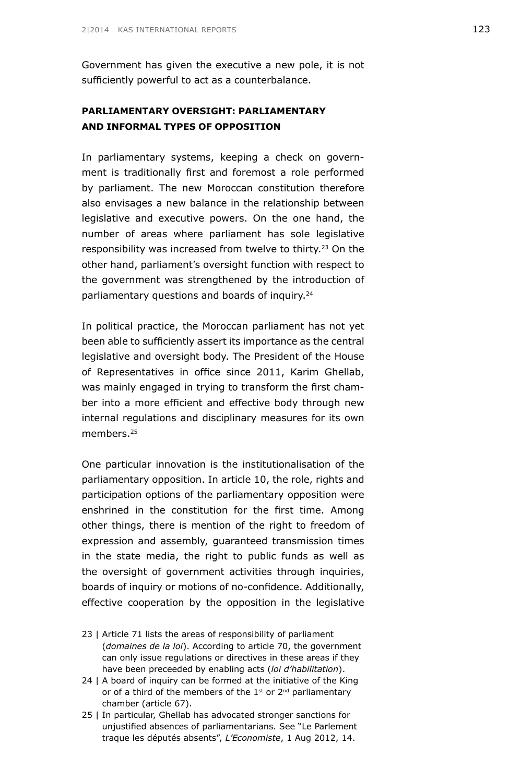Government has given the executive a new pole, it is not sufficiently powerful to act as a counterbalance.

### **PARLIAMENTARY OVERSIGHT: PARLIAMENTARY AND INFORMAL TYPES OF OPPOSITION**

In parliamentary systems, keeping a check on government is traditionally first and foremost a role performed by parliament. The new Moroccan constitution therefore also envisages a new balance in the relationship between legislative and executive powers. On the one hand, the number of areas where parliament has sole legislative responsibility was increased from twelve to thirty.23 On the other hand, parliament's oversight function with respect to the government was strengthened by the introduction of parliamentary questions and boards of inquiry.24

In political practice, the Moroccan parliament has not yet been able to sufficiently assert its importance as the central legislative and oversight body. The President of the House of Representatives in office since 2011, Karim Ghellab, was mainly engaged in trying to transform the first chamber into a more efficient and effective body through new internal regulations and disciplinary measures for its own members<sup>25</sup>

One particular innovation is the institutionalisation of the parliamentary opposition. In article 10, the role, rights and participation options of the parliamentary opposition were enshrined in the constitution for the first time. Among other things, there is mention of the right to freedom of expression and assembly, guaranteed transmission times in the state media, the right to public funds as well as the oversight of government activities through inquiries, boards of inquiry or motions of no-confidence. Additionally, effective cooperation by the opposition in the legislative

- 23 | Article 71 lists the areas of responsibility of parliament (*domaines de la loi*). According to article 70, the government can only issue regulations or directives in these areas if they have been preceeded by enabling acts (*loi d'habilitation*).
- 24 | A board of inquiry can be formed at the initiative of the King or of a third of the members of the  $1^{st}$  or  $2^{nd}$  parliamentary chamber (article 67).
- 25 | In particular, Ghellab has advocated stronger sanctions for unjustified absences of parliamentarians. See "Le Parlement traque les députés absents", *L'Economiste*, 1 Aug 2012, 14.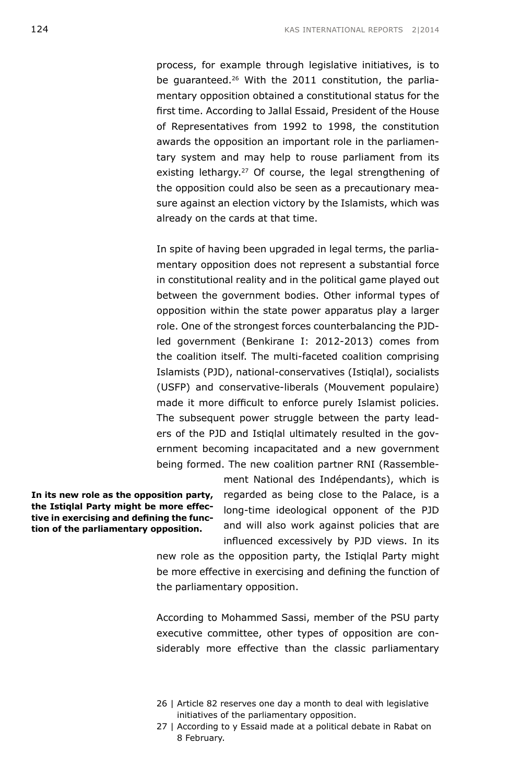process, for example through legislative initiatives, is to be quaranteed.<sup>26</sup> With the 2011 constitution, the parliamentary opposition obtained a constitutional status for the first time. According to Jallal Essaid, President of the House of Representatives from 1992 to 1998, the constitution awards the opposition an important role in the parliamentary system and may help to rouse parliament from its existing lethargy.<sup>27</sup> Of course, the legal strengthening of the opposition could also be seen as a precautionary measure against an election victory by the Islamists, which was already on the cards at that time.

In spite of having been upgraded in legal terms, the parliamentary opposition does not represent a substantial force in constitutional reality and in the political game played out between the government bodies. Other informal types of opposition within the state power apparatus play a larger role. One of the strongest forces counterbalancing the PJDled government (Benkirane I: 2012-2013) comes from the coalition itself. The multi-faceted coalition comprising Islamists (PJD), national-conservatives (Istiqlal), socialists (USFP) and conservative-liberals (Mouvement populaire) made it more difficult to enforce purely Islamist policies. The subsequent power struggle between the party leaders of the PJD and Istiqlal ultimately resulted in the government becoming incapacitated and a new government being formed. The new coalition partner RNI (Rassemble-

**In its new role as the opposition party, the Istiqlal Party might be more effective in exercising and defining the function of the parliamentary opposition.**

ment National des Indépendants), which is regarded as being close to the Palace, is a long-time ideological opponent of the PJD and will also work against policies that are influenced excessively by PJD views. In its

new role as the opposition party, the Istiqlal Party might be more effective in exercising and defining the function of the parliamentary opposition.

According to Mohammed Sassi, member of the PSU party executive committee, other types of opposition are considerably more effective than the classic parliamentary

- 26 | Article 82 reserves one day a month to deal with legislative initiatives of the parliamentary opposition.
- 27 | According to y Essaid made at a political debate in Rabat on 8 February.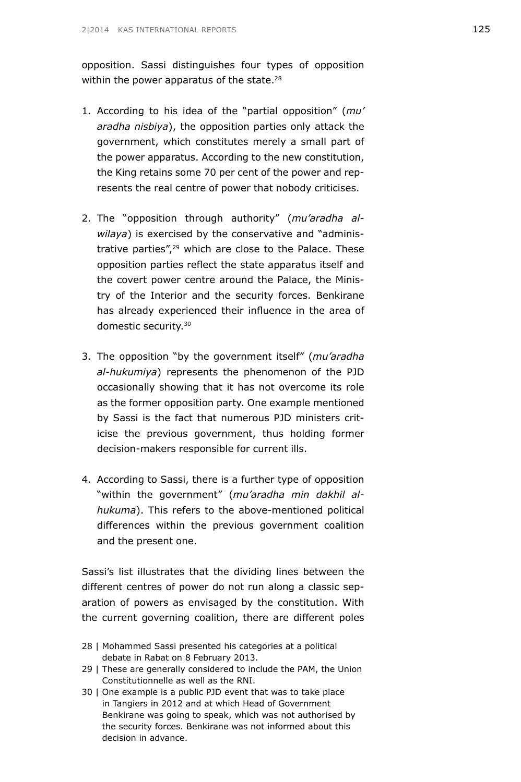opposition. Sassi distinguishes four types of opposition within the power apparatus of the state.<sup>28</sup>

- 1. According to his idea of the "partial opposition" (*mu' aradha nisbiya*), the opposition parties only attack the government, which constitutes merely a small part of the power apparatus. According to the new constitution, the King retains some 70 per cent of the power and represents the real centre of power that nobody criticises.
- 2. The "opposition through authority" (*mu'aradha alwilaya*) is exercised by the conservative and "administrative parties",29 which are close to the Palace. These opposition parties reflect the state apparatus itself and the covert power centre around the Palace, the Ministry of the Interior and the security forces. Benkirane has already experienced their influence in the area of domestic security.30
- 3. The opposition "by the government itself" (*mu'aradha al-hukumiya*) represents the phenomenon of the PJD occasionally showing that it has not overcome its role as the former opposition party. One example mentioned by Sassi is the fact that numerous PJD ministers criticise the previous government, thus holding former decision-makers responsible for current ills.
- 4. According to Sassi, there is a further type of opposition "within the government" (*mu'aradha min dakhil alhukuma*). This refers to the above-mentioned political differences within the previous government coalition and the present one.

Sassi's list illustrates that the dividing lines between the different centres of power do not run along a classic separation of powers as envisaged by the constitution. With the current governing coalition, there are different poles

- 28 | Mohammed Sassi presented his categories at a political debate in Rabat on 8 February 2013.
- 29 | These are generally considered to include the PAM, the Union Constitutionnelle as well as the RNI.
- 30 | One example is a public PJD event that was to take place in Tangiers in 2012 and at which Head of Government Benkirane was going to speak, which was not authorised by the security forces. Benkirane was not informed about this decision in advance.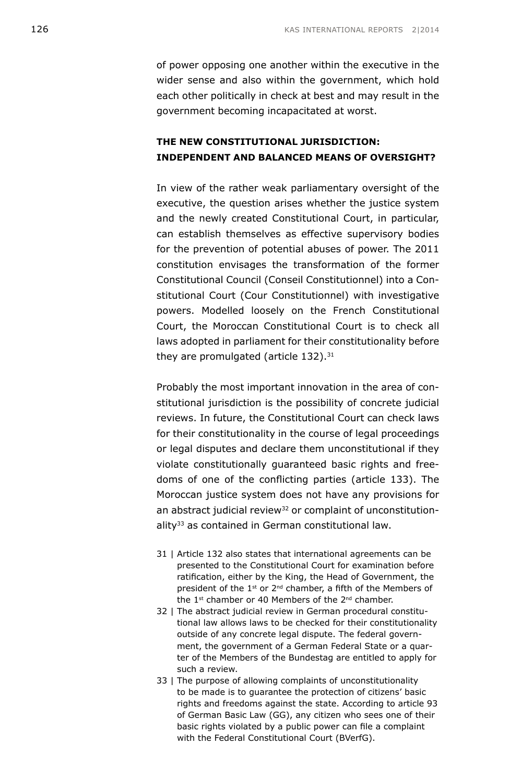of power opposing one another within the executive in the wider sense and also within the government, which hold each other politically in check at best and may result in the government becoming incapacitated at worst.

### **THE NEW CONSTITUTIONAL JURISDICTION: INDEPENDENT AND BALANCED MEANS OF OVERSIGHT?**

In view of the rather weak parliamentary oversight of the executive, the question arises whether the justice system and the newly created Constitutional Court, in particular, can establish themselves as effective supervisory bodies for the prevention of potential abuses of power. The 2011 constitution envisages the transformation of the former Constitutional Council (Conseil Constitutionnel) into a Constitutional Court (Cour Constitutionnel) with investigative powers. Modelled loosely on the French Constitutional Court, the Moroccan Constitutional Court is to check all laws adopted in parliament for their constitutionality before they are promulgated (article  $132$ ).  $31$ 

Probably the most important innovation in the area of constitutional jurisdiction is the possibility of concrete judicial reviews. In future, the Constitutional Court can check laws for their constitutionality in the course of legal proceedings or legal disputes and declare them unconstitutional if they violate constitutionally guaranteed basic rights and freedoms of one of the conflicting parties (article 133). The Moroccan justice system does not have any provisions for an abstract judicial review<sup>32</sup> or complaint of unconstitutionality<sup>33</sup> as contained in German constitutional law.

- 31 | Article 132 also states that international agreements can be presented to the Constitutional Court for examination before ratification, either by the King, the Head of Government, the president of the 1<sup>st</sup> or 2<sup>nd</sup> chamber, a fifth of the Members of the 1<sup>st</sup> chamber or 40 Members of the 2<sup>nd</sup> chamber.
- 32 | The abstract judicial review in German procedural constitutional law allows laws to be checked for their constitutionality outside of any concrete legal dispute. The federal government, the government of a German Federal State or a quarter of the Members of the Bundestag are entitled to apply for such a review.
- 33 | The purpose of allowing complaints of unconstitutionality to be made is to guarantee the protection of citizens' basic rights and freedoms against the state. According to article 93 of German Basic Law (GG), any citizen who sees one of their basic rights violated by a public power can file a complaint with the Federal Constitutional Court (BVerfG).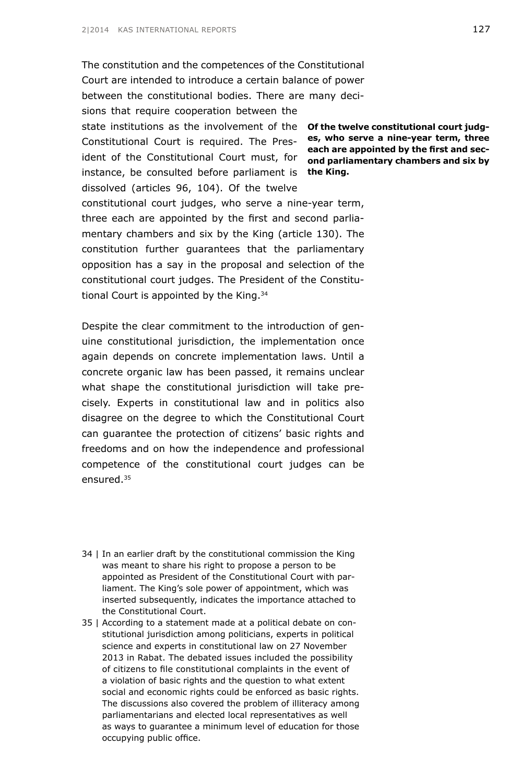The constitution and the competences of the Constitutional Court are intended to introduce a certain balance of power between the constitutional bodies. There are many decisions that require cooperation between the state institutions as the involvement of the **Of the twelve constitutional court judg-**Constitutional Court is required. The Pres-**es, who serve a nine-year term, three**  ident of the Constitutional Court must, for **ond parliamentary chambers and six by**  instance, be consulted before parliament is **the King.**dissolved (articles 96, 104). Of the twelve constitutional court judges, who serve a nine-year term, three each are appointed by the first and second parliamentary chambers and six by the King (article 130). The constitution further guarantees that the parliamentary opposition has a say in the proposal and selection of the constitutional court judges. The President of the Constitutional Court is appointed by the King.<sup>34</sup>

Despite the clear commitment to the introduction of genuine constitutional jurisdiction, the implementation once again depends on concrete implementation laws. Until a concrete organic law has been passed, it remains unclear what shape the constitutional jurisdiction will take precisely. Experts in constitutional law and in politics also disagree on the degree to which the Constitutional Court can guarantee the protection of citizens' basic rights and freedoms and on how the independence and professional competence of the constitutional court judges can be ensured.35

- 34 | In an earlier draft by the constitutional commission the King was meant to share his right to propose a person to be appointed as President of the Constitutional Court with parliament. The King's sole power of appointment, which was inserted subsequently, indicates the importance attached to the Constitutional Court.
- 35 | According to a statement made at a political debate on constitutional jurisdiction among politicians, experts in political science and experts in constitutional law on 27 November 2013 in Rabat. The debated issues included the possibility of citizens to file constitutional complaints in the event of a violation of basic rights and the question to what extent social and economic rights could be enforced as basic rights. The discussions also covered the problem of illiteracy among parliamentarians and elected local representatives as well as ways to guarantee a minimum level of education for those occupying public office.

**each are appointed by the first and sec-**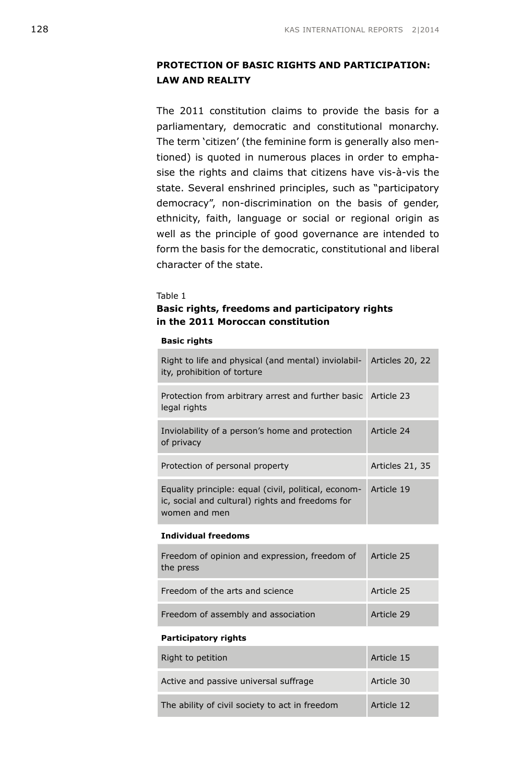### **PROTECTION OF BASIC RIGHTS AND PARTICIPATION: LAW AND REALITY**

The 2011 constitution claims to provide the basis for a parliamentary, democratic and constitutional monarchy. The term 'citizen' (the feminine form is generally also mentioned) is quoted in numerous places in order to emphasise the rights and claims that citizens have vis-à-vis the state. Several enshrined principles, such as "participatory democracy", non-discrimination on the basis of gender, ethnicity, faith, language or social or regional origin as well as the principle of good governance are intended to form the basis for the democratic, constitutional and liberal character of the state.

#### Table 1

### **Basic rights, freedoms and participatory rights in the 2011 Moroccan constitution**

#### **Basic rights**

| Right to life and physical (and mental) inviolabil-<br>ity, prohibition of torture                                        | Articles 20, 22 |
|---------------------------------------------------------------------------------------------------------------------------|-----------------|
| Protection from arbitrary arrest and further basic Article 23<br>legal rights                                             |                 |
| Inviolability of a person's home and protection<br>of privacy                                                             | Article 24      |
| Protection of personal property                                                                                           | Articles 21, 35 |
| Equality principle: equal (civil, political, econom-<br>ic, social and cultural) rights and freedoms for<br>women and men | Article 19      |
| <b>Individual freedoms</b>                                                                                                |                 |

## Freedom of opinion and expression, freedom of the press Article 25 Freedom of the arts and science Article 25 Freedom of assembly and association **Article 29**

#### **Participatory rights**

| Right to petition                              | Article 15 |
|------------------------------------------------|------------|
| Active and passive universal suffrage          | Article 30 |
| The ability of civil society to act in freedom | Article 12 |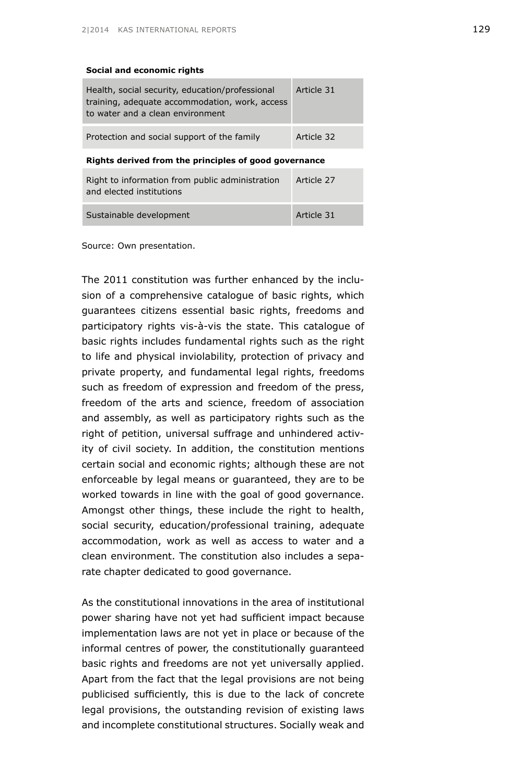#### **Social and economic rights**

| Health, social security, education/professional<br>training, adequate accommodation, work, access<br>to water and a clean environment | Article 31 |
|---------------------------------------------------------------------------------------------------------------------------------------|------------|
| Protection and social support of the family                                                                                           | Article 32 |
|                                                                                                                                       |            |

#### **Rights derived from the principles of good governance**

| Right to information from public administration<br>and elected institutions | Article 27 |
|-----------------------------------------------------------------------------|------------|
| Sustainable development                                                     | Article 31 |

Source: Own presentation.

The 2011 constitution was further enhanced by the inclusion of a comprehensive catalogue of basic rights, which guarantees citizens essential basic rights, freedoms and participatory rights vis-à-vis the state. This catalogue of basic rights includes fundamental rights such as the right to life and physical inviolability, protection of privacy and private property, and fundamental legal rights, freedoms such as freedom of expression and freedom of the press, freedom of the arts and science, freedom of association and assembly, as well as participatory rights such as the right of petition, universal suffrage and unhindered activity of civil society. In addition, the constitution mentions certain social and economic rights; although these are not enforceable by legal means or guaranteed, they are to be worked towards in line with the goal of good governance. Amongst other things, these include the right to health, social security, education/professional training, adequate accommodation, work as well as access to water and a clean environment. The constitution also includes a separate chapter dedicated to good governance.

As the constitutional innovations in the area of institutional power sharing have not yet had sufficient impact because implementation laws are not yet in place or because of the informal centres of power, the constitutionally guaranteed basic rights and freedoms are not yet universally applied. Apart from the fact that the legal provisions are not being publicised sufficiently, this is due to the lack of concrete legal provisions, the outstanding revision of existing laws and incomplete constitutional structures. Socially weak and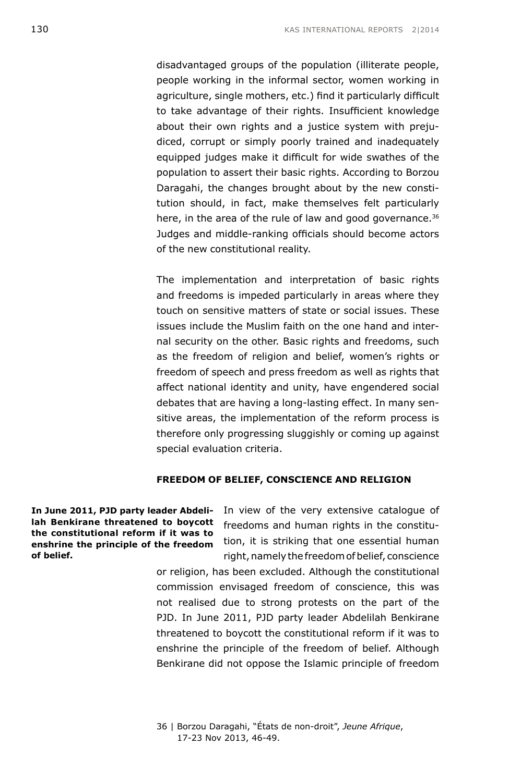disadvantaged groups of the population (illiterate people, people working in the informal sector, women working in agriculture, single mothers, etc.) find it particularly difficult to take advantage of their rights. Insufficient knowledge about their own rights and a justice system with prejudiced, corrupt or simply poorly trained and inadequately equipped judges make it difficult for wide swathes of the population to assert their basic rights. According to Borzou Daragahi, the changes brought about by the new constitution should, in fact, make themselves felt particularly here, in the area of the rule of law and good governance.<sup>36</sup> Judges and middle-ranking officials should become actors of the new constitutional reality.

The implementation and interpretation of basic rights and freedoms is impeded particularly in areas where they touch on sensitive matters of state or social issues. These issues include the Muslim faith on the one hand and internal security on the other. Basic rights and freedoms, such as the freedom of religion and belief, women's rights or freedom of speech and press freedom as well as rights that affect national identity and unity, have engendered social debates that are having a long-lasting effect. In many sensitive areas, the implementation of the reform process is therefore only progressing sluggishly or coming up against special evaluation criteria.

#### **FREEDOM OF BELIEF, CONSCIENCE AND RELIGION**

**In June 2011, PJD party leader Abdelilah Benkirane threatened to boycott the constitutional reform if it was to enshrine the principle of the freedom of belief.** 

In view of the very extensive catalogue of freedoms and human rights in the constitution, it is striking that one essential human right, namely the freedom of belief, conscience

or religion, has been excluded. Although the constitutional commission envisaged freedom of conscience, this was not realised due to strong protests on the part of the PJD. In June 2011, PJD party leader Abdelilah Benkirane threatened to boycott the constitutional reform if it was to enshrine the principle of the freedom of belief. Although Benkirane did not oppose the Islamic principle of freedom

36 | Borzou Daragahi, "États de non-droit", *Jeune Afrique*, 17-23 Nov 2013, 46-49.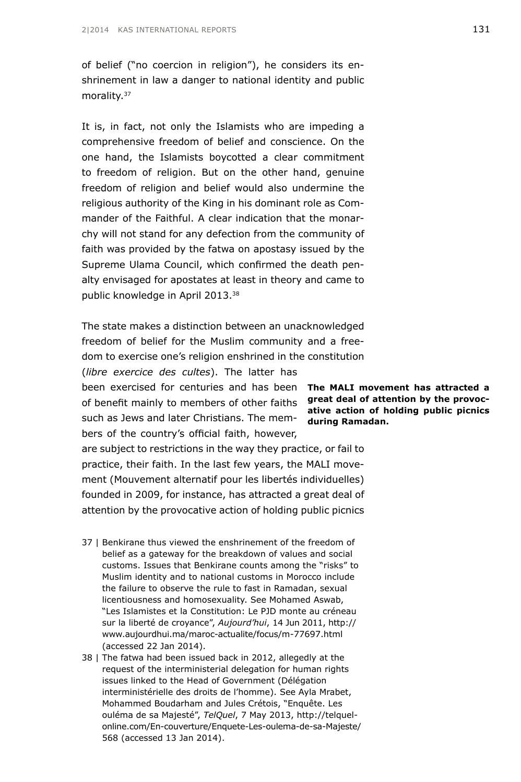of belief ("no coercion in religion"), he considers its enshrinement in law a danger to national identity and public morality.<sup>37</sup>

It is, in fact, not only the Islamists who are impeding a comprehensive freedom of belief and conscience. On the one hand, the Islamists boycotted a clear commitment to freedom of religion. But on the other hand, genuine freedom of religion and belief would also undermine the religious authority of the King in his dominant role as Commander of the Faithful. A clear indication that the monarchy will not stand for any defection from the community of faith was provided by the fatwa on apostasy issued by the Supreme Ulama Council, which confirmed the death penalty envisaged for apostates at least in theory and came to public knowledge in April 2013.38

The state makes a distinction between an unacknowledged freedom of belief for the Muslim community and a freedom to exercise one's religion enshrined in the constitution

(*libre exercice des cultes*). The latter has

been exercised for centuries and has been **The MALI movement has attracted a**  of benefit mainly to members of other faiths such as Jews and later Christians. The members of the country's official faith, however,

are subject to restrictions in the way they practice, or fail to practice, their faith. In the last few years, the MALI movement (Mouvement alternatif pour les libertés individuelles) founded in 2009, for instance, has attracted a great deal of attention by the provocative action of holding public picnics

- 37 | Benkirane thus viewed the enshrinement of the freedom of belief as a gateway for the breakdown of values and social customs. Issues that Benkirane counts among the "risks" to Muslim identity and to national customs in Morocco include the failure to observe the rule to fast in Ramadan, sexual licentiousness and homosexuality. See Mohamed Aswab, "Les Islamistes et la Constitution: Le PJD monte au créneau sur la liberté de croyance", *Aujourd'hui*, 14 Jun 2011, [http://](http://www.aujourdhui.ma/maroc-actualite/focus/m-77697.html) [www.aujourdhui.ma/maroc-actualite/focus/](http://www.aujourdhui.ma/maroc-actualite/focus/m-77697.html)m-77697.html (accessed 22 Jan 2014).
- 38 | The fatwa had been issued back in 2012, allegedly at the request of the interministerial delegation for human rights issues linked to the Head of Government (Délégation interministérielle des droits de l'homme). See Ayla Mrabet, Mohammed Boudarham and Jules Crétois, "Enquête. Les ouléma de sa Majesté", *TelQuel*, 7 May 2013, [http://telquel](http://telquel-online.com/En-couverture/Enquete-Les-oulema-de-sa-Majeste/568)[online.com/En-couverture/Enquete-Les-oulema-de-sa-Majeste/](http://telquel-online.com/En-couverture/Enquete-Les-oulema-de-sa-Majeste/568) [568](http://telquel-online.com/En-couverture/Enquete-Les-oulema-de-sa-Majeste/568) (accessed 13 Jan 2014).

**great deal of attention by the provocative action of holding public picnics during Ramadan.**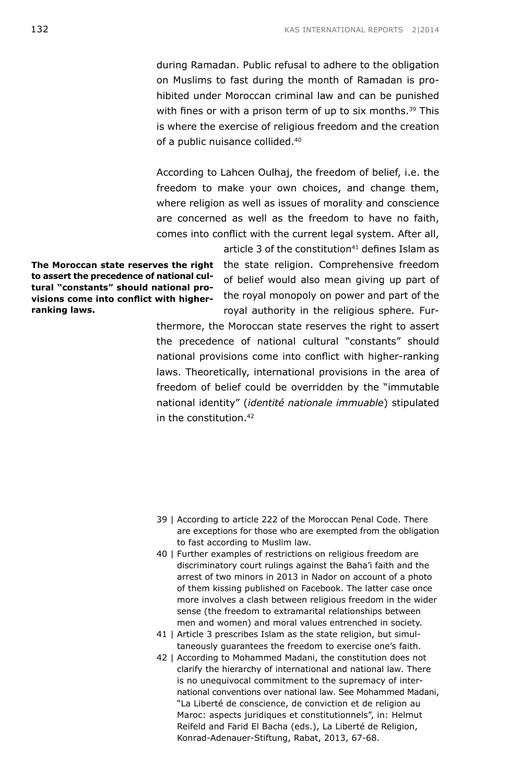during Ramadan. Public refusal to adhere to the obligation on Muslims to fast during the month of Ramadan is prohibited under Moroccan criminal law and can be punished with fines or with a prison term of up to six months.<sup>39</sup> This is where the exercise of religious freedom and the creation of a public nuisance collided.40

According to Lahcen Oulhaj, the freedom of belief, i.e. the freedom to make your own choices, and change them, where religion as well as issues of morality and conscience are concerned as well as the freedom to have no faith, comes into conflict with the current legal system. After all, article 3 of the constitution $41$  defines Islam as

**The Moroccan state reserves the right to assert the precedence of national cultural "constants" should national provisions come into conflict with higherranking laws.**

the state religion. Comprehensive freedom of belief would also mean giving up part of the royal monopoly on power and part of the royal authority in the religious sphere. Fur-

thermore, the Moroccan state reserves the right to assert the precedence of national cultural "constants" should national provisions come into conflict with higher-ranking laws. Theoretically, international provisions in the area of freedom of belief could be overridden by the "immutable national identity" (*identité nationale immuable*) stipulated in the constitution  $42$ 

- 39 | According to article 222 of the Moroccan Penal Code. There are exceptions for those who are exempted from the obligation to fast according to Muslim law.
- 40 | Further examples of restrictions on religious freedom are discriminatory court rulings against the Baha'i faith and the arrest of two minors in 2013 in Nador on account of a photo of them kissing published on Facebook. The latter case once more involves a clash between religious freedom in the wider sense (the freedom to extramarital relationships between men and women) and moral values entrenched in society.
- 41 | Article 3 prescribes Islam as the state religion, but simultaneously guarantees the freedom to exercise one's faith.
- 42 | According to Mohammed Madani, the constitution does not clarify the hierarchy of international and national law. There is no unequivocal commitment to the supremacy of international conventions over national law. See Mohammed Madani, "La Liberté de conscience, de conviction et de religion au Maroc: aspects juridiques et constitutionnels", in: Helmut Reifeld and Farid El Bacha (eds.), La Liberté de Religion, Konrad-Adenauer-Stiftung, Rabat, 2013, 67-68.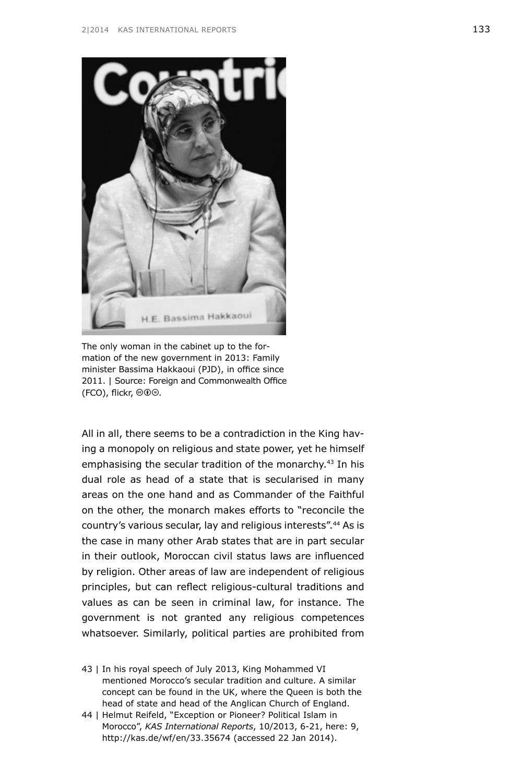

The only woman in the cabinet up to the formation of the new government in 2013: Family minister Bassima Hakkaoui (PJD), in office since 2011. | Source: Foreign and Commonwealth Office  $(FCO)$ , flickr,  $@0@$ .

All in all, there seems to be a contradiction in the King having a monopoly on religious and state power, yet he himself emphasising the secular tradition of the monarchy.<sup>43</sup> In his dual role as head of a state that is secularised in many areas on the one hand and as Commander of the Faithful on the other, the monarch makes efforts to "reconcile the country's various secular, lay and religious interests".44 As is the case in many other Arab states that are in part secular in their outlook, Moroccan civil status laws are influenced by religion. Other areas of law are independent of religious principles, but can reflect religious-cultural traditions and values as can be seen in criminal law, for instance. The government is not granted any religious competences whatsoever. Similarly, political parties are prohibited from

- 43 | In his royal speech of July 2013, King Mohammed VI mentioned Morocco's secular tradition and culture. A similar concept can be found in the UK, where the Queen is both the head of state and head of the Anglican Church of England.
- 44 | Helmut Reifeld, "Exception or Pioneer? Political Islam in Morocco", *KAS International Reports*, 10/2013, 6-21, here: 9, <http://kas.de/wf/en/33.35674> (accessed 22 Jan 2014).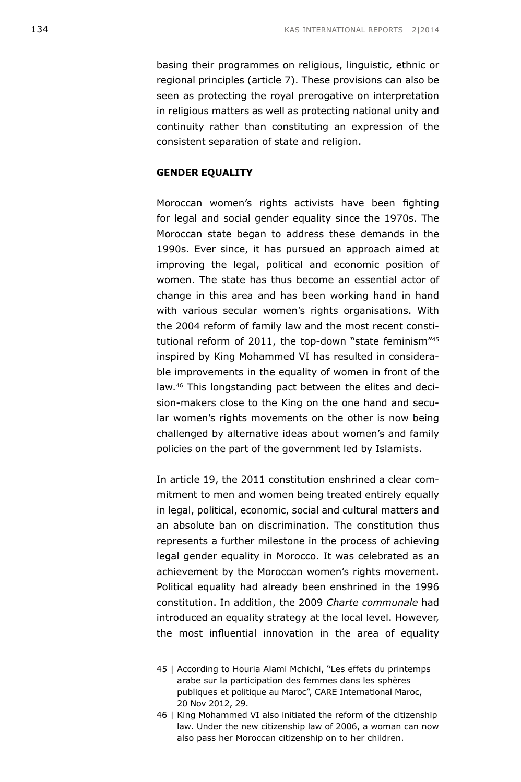basing their programmes on religious, linguistic, ethnic or regional principles (article 7). These provisions can also be seen as protecting the royal prerogative on interpretation in religious matters as well as protecting national unity and continuity rather than constituting an expression of the consistent separation of state and religion.

#### **GENDER EQUALITY**

Moroccan women's rights activists have been fighting for legal and social gender equality since the 1970s. The Moroccan state began to address these demands in the 1990s. Ever since, it has pursued an approach aimed at improving the legal, political and economic position of women. The state has thus become an essential actor of change in this area and has been working hand in hand with various secular women's rights organisations. With the 2004 reform of family law and the most recent constitutional reform of 2011, the top-down "state feminism"45 inspired by King Mohammed VI has resulted in considerable improvements in the equality of women in front of the law.46 This longstanding pact between the elites and decision-makers close to the King on the one hand and secular women's rights movements on the other is now being challenged by alternative ideas about women's and family policies on the part of the government led by Islamists.

In article 19, the 2011 constitution enshrined a clear commitment to men and women being treated entirely equally in legal, political, economic, social and cultural matters and an absolute ban on discrimination. The constitution thus represents a further milestone in the process of achieving legal gender equality in Morocco. It was celebrated as an achievement by the Moroccan women's rights movement. Political equality had already been enshrined in the 1996 constitution. In addition, the 2009 *Charte communale* had introduced an equality strategy at the local level. However, the most influential innovation in the area of equality

- 45 | According to Houria Alami Mchichi, "Les effets du printemps arabe sur la participation des femmes dans les sphères publiques et politique au Maroc", CARE International Maroc, 20 Nov 2012, 29.
- 46 | King Mohammed VI also initiated the reform of the citizenship law. Under the new citizenship law of 2006, a woman can now also pass her Moroccan citizenship on to her children.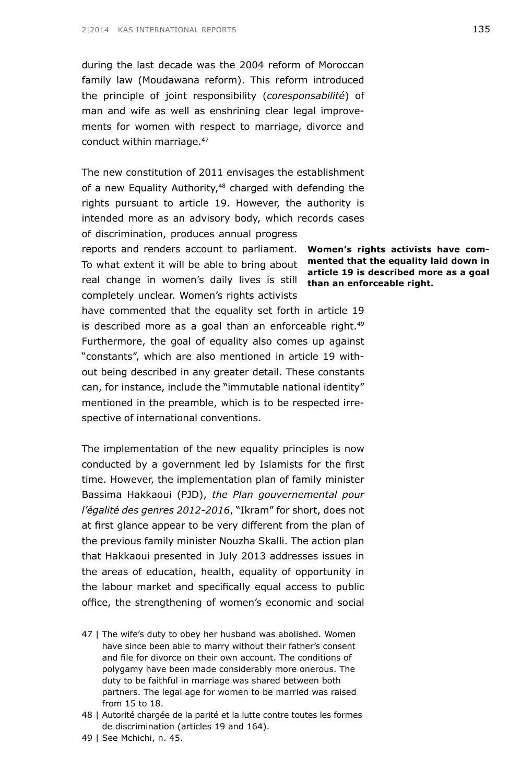during the last decade was the 2004 reform of Moroccan family law (Moudawana reform). This reform introduced the principle of joint responsibility (*coresponsabilité*) of man and wife as well as enshrining clear legal improvements for women with respect to marriage, divorce and conduct within marriage.<sup>47</sup>

The new constitution of 2011 envisages the establishment of a new Equality Authority,<sup>48</sup> charged with defending the rights pursuant to article 19. However, the authority is intended more as an advisory body, which records cases of discrimination, produces annual progress

reports and renders account to parliament. Women's rights activists have com-To what extent it will be able to bring about **mented that the equality laid down in** real change in women's daily lives is still **than an enforceable right.** completely unclear. Women's rights activists

have commented that the equality set forth in article 19 is described more as a goal than an enforceable right.<sup>49</sup> Furthermore, the goal of equality also comes up against "constants", which are also mentioned in article 19 without being described in any greater detail. These constants can, for instance, include the "immutable national identity" mentioned in the preamble, which is to be respected irrespective of international conventions.

The implementation of the new equality principles is now conducted by a government led by Islamists for the first time. However, the implementation plan of family minister Bassima Hakkaoui (PJD), *the Plan gouvernemental pour l'égalité des genres 2012-2016*, "Ikram" for short, does not at first glance appear to be very different from the plan of the previous family minister Nouzha Skalli. The action plan that Hakkaoui presented in July 2013 addresses issues in the areas of education, health, equality of opportunity in the labour market and specifically equal access to public office, the strengthening of women's economic and social

47 | The wife's duty to obey her husband was abolished. Women have since been able to marry without their father's consent and file for divorce on their own account. The conditions of polygamy have been made considerably more onerous. The duty to be faithful in marriage was shared between both partners. The legal age for women to be married was raised from 15 to 18.

48 | Autorité chargée de la parité et la lutte contre toutes les formes de discrimination (articles 19 and 164).

49 | See Mchichi, n. 45.

**article 19 is described more as a goal**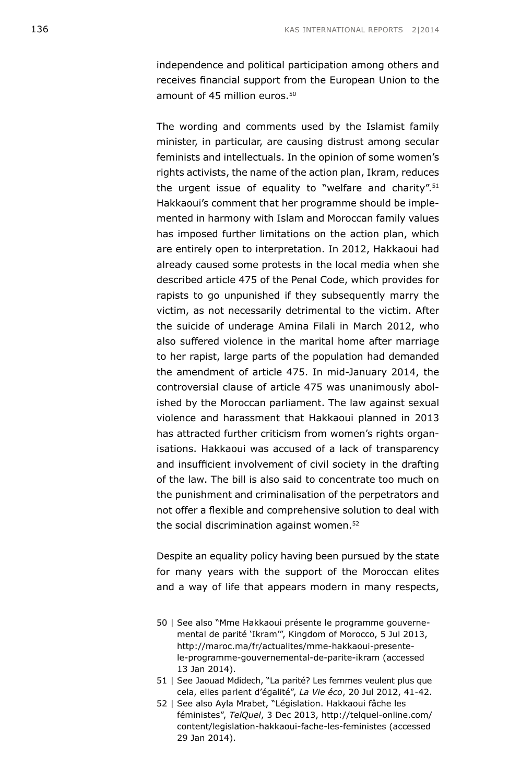independence and political participation among others and receives financial support from the European Union to the amount of 45 million euros.<sup>50</sup>

The wording and comments used by the Islamist family minister, in particular, are causing distrust among secular feminists and intellectuals. In the opinion of some women's rights activists, the name of the action plan, Ikram, reduces the urgent issue of equality to "welfare and charity".51 Hakkaoui's comment that her programme should be implemented in harmony with Islam and Moroccan family values has imposed further limitations on the action plan, which are entirely open to interpretation. In 2012, Hakkaoui had already caused some protests in the local media when she described article 475 of the Penal Code, which provides for rapists to go unpunished if they subsequently marry the victim, as not necessarily detrimental to the victim. After the suicide of underage Amina Filali in March 2012, who also suffered violence in the marital home after marriage to her rapist, large parts of the population had demanded the amendment of article 475. In mid-January 2014, the controversial clause of article 475 was unanimously abolished by the Moroccan parliament. The law against sexual violence and harassment that Hakkaoui planned in 2013 has attracted further criticism from women's rights organisations. Hakkaoui was accused of a lack of transparency and insufficient involvement of civil society in the drafting of the law. The bill is also said to concentrate too much on the punishment and criminalisation of the perpetrators and not offer a flexible and comprehensive solution to deal with the social discrimination against women.<sup>52</sup>

Despite an equality policy having been pursued by the state for many years with the support of the Moroccan elites and a way of life that appears modern in many respects,

- 50 | See also "Mme Hakkaoui présente le programme gouvernemental de parité 'Ikram'", Kingdom of Morocco, 5 Jul 2013, [http://maroc.ma/fr/actualites/mme-hakkaoui-presente](http://maroc.ma/fr/actualites/mme-hakkaoui-presente-le-programme-gouvernemental-de-parite-ikram)[le-programme-gouvernemental-de-parite-ikram](http://maroc.ma/fr/actualites/mme-hakkaoui-presente-le-programme-gouvernemental-de-parite-ikram) (accessed 13 Jan 2014).
- 51 | See Jaouad Mdidech, "La parité? Les femmes veulent plus que cela, elles parlent d'égalité", *La Vie éco*, 20 Jul 2012, 41-42.
- 52 | See also Ayla Mrabet, "Législation. Hakkaoui fâche les féministes", *TelQuel*, 3 Dec 2013, [http://telquel-online.com/](http://telquel-online.com/content/legislation-hakkaoui-fache-les-feministes) [content/legislation-hakkaoui-fache-les-feministes](http://telquel-online.com/content/legislation-hakkaoui-fache-les-feministes) (accessed 29 Jan 2014).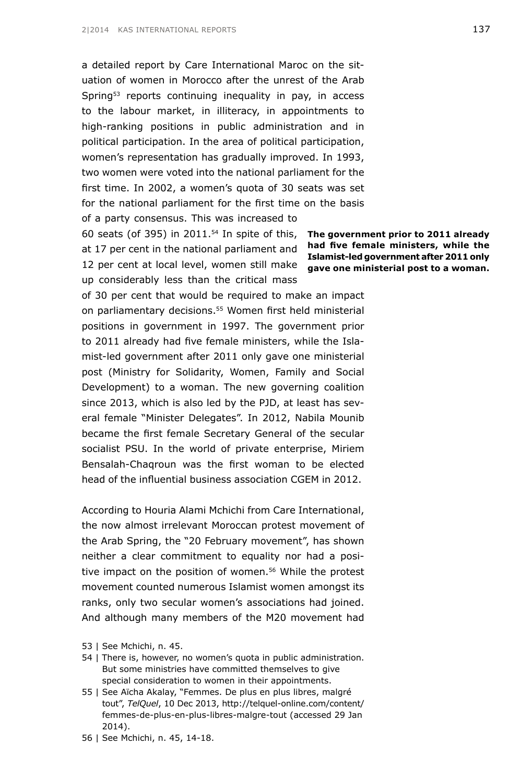a detailed report by Care International Maroc on the situation of women in Morocco after the unrest of the Arab Spring<sup>53</sup> reports continuing inequality in pay, in access to the labour market, in illiteracy, in appointments to high-ranking positions in public administration and in political participation. In the area of political participation, women's representation has gradually improved. In 1993, two women were voted into the national parliament for the first time. In 2002, a women's quota of 30 seats was set for the national parliament for the first time on the basis of a party consensus. This was increased to

60 seats (of 395) in 2011. $54$  In spite of this, at 17 per cent in the national parliament and 12 per cent at local level, women still make up considerably less than the critical mass

of 30 per cent that would be required to make an impact on parliamentary decisions.<sup>55</sup> Women first held ministerial positions in government in 1997. The government prior to 2011 already had five female ministers, while the Islamist-led government after 2011 only gave one ministerial post (Ministry for Solidarity, Women, Family and Social Development) to a woman. The new governing coalition since 2013, which is also led by the PJD, at least has several female "Minister Delegates". In 2012, Nabila Mounib became the first female Secretary General of the secular socialist PSU. In the world of private enterprise, Miriem Bensalah-Chaqroun was the first woman to be elected head of the influential business association CGEM in 2012.

According to Houria Alami Mchichi from Care International, the now almost irrelevant Moroccan protest movement of the Arab Spring, the "20 February movement", has shown neither a clear commitment to equality nor had a positive impact on the position of women.<sup>56</sup> While the protest movement counted numerous Islamist women amongst its ranks, only two secular women's associations had joined. And although many members of the M20 movement had

- 53 | See Mchichi, n. 45.
- 54 | There is, however, no women's quota in public administration. But some ministries have committed themselves to give special consideration to women in their appointments.
- 55 | See Aïcha Akalay, "Femmes. De plus en plus libres, malgré tout", *TelQuel*, 10 Dec 2013, [http://telquel-online.com/content/](http://telquel-online.com/content/femmes-de-plus-en-plus-libres-malgre-tout) [femmes-de-plus-en-plus-libres-malgre-tout](http://telquel-online.com/content/femmes-de-plus-en-plus-libres-malgre-tout) (accessed 29 Jan 2014).
- 56 | See Mchichi, n. 45, 14-18.

**The government prior to 2011 already had five female ministers, while the Islamist-led government after 2011 only gave one ministerial post to a woman.**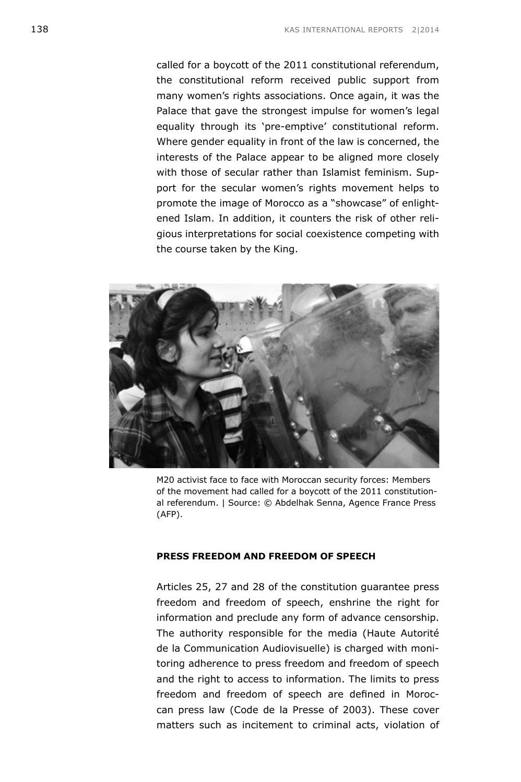called for a boycott of the 2011 constitutional referendum, the constitutional reform received public support from many women's rights associations. Once again, it was the Palace that gave the strongest impulse for women's legal equality through its 'pre-emptive' constitutional reform. Where gender equality in front of the law is concerned, the interests of the Palace appear to be aligned more closely with those of secular rather than Islamist feminism. Support for the secular women's rights movement helps to promote the image of Morocco as a "showcase" of enlightened Islam. In addition, it counters the risk of other religious interpretations for social coexistence competing with the course taken by the King.



M20 activist face to face with Moroccan security forces: Members of the movement had called for a boycott of the 2011 constitutional referendum. | Source: © Abdelhak Senna, Agence France Press (AFP).

#### **PRESS FREEDOM AND FREEDOM OF SPEECH**

Articles 25, 27 and 28 of the constitution guarantee press freedom and freedom of speech, enshrine the right for information and preclude any form of advance censorship. The authority responsible for the media (Haute Autorité de la Communication Audiovisuelle) is charged with monitoring adherence to press freedom and freedom of speech and the right to access to information. The limits to press freedom and freedom of speech are defined in Moroccan press law (Code de la Presse of 2003). These cover matters such as incitement to criminal acts, violation of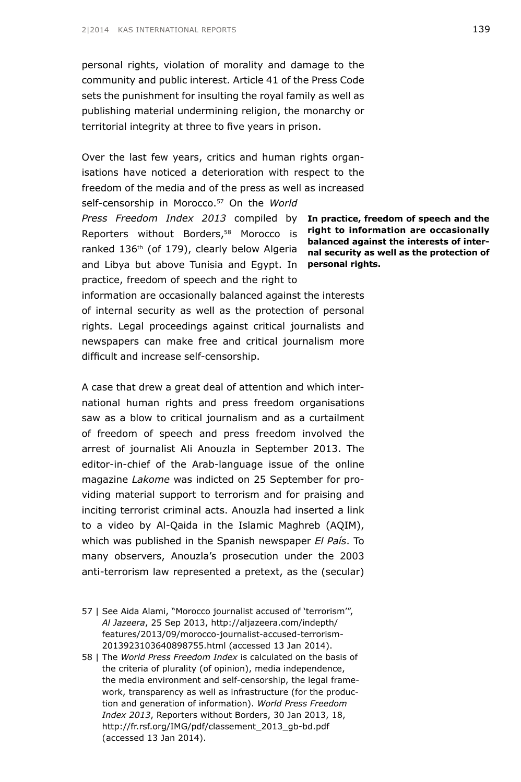personal rights, violation of morality and damage to the community and public interest. Article 41 of the Press Code sets the punishment for insulting the royal family as well as publishing material undermining religion, the monarchy or territorial integrity at three to five years in prison.

Press Freedom Index 2013 compiled by **In practice, freedom of speech and the** and Libya but above Tunisia and Egypt. In **personal rights.** Over the last few years, critics and human rights organisations have noticed a deterioration with respect to the freedom of the media and of the press as well as increased self-censorship in Morocco.<sup>57</sup> On the *World* Reporters without Borders,58 Morocco is ranked 136th (of 179), clearly below Algeria practice, freedom of speech and the right to

**right to information are occasionally balanced against the interests of internal security as well as the protection of** 

information are occasionally balanced against the interests of internal security as well as the protection of personal rights. Legal proceedings against critical journalists and newspapers can make free and critical journalism more difficult and increase self-censorship.

A case that drew a great deal of attention and which international human rights and press freedom organisations saw as a blow to critical journalism and as a curtailment of freedom of speech and press freedom involved the arrest of journalist Ali Anouzla in September 2013. The editor-in-chief of the Arab-language issue of the online magazine *Lakome* was indicted on 25 September for providing material support to terrorism and for praising and inciting terrorist criminal acts. Anouzla had inserted a link to a video by Al-Qaida in the Islamic Maghreb (AQIM), which was published in the Spanish newspaper *El País*. To many observers, Anouzla's prosecution under the 2003 anti-terrorism law represented a pretext, as the (secular)

- 57 | See Aida Alami, "Morocco journalist accused of 'terrorism'", *Al Jazeera*, 25 Sep 2013, [http://aljazeera.com/indepth/](http://aljazeera.com/indepth/features/2013/09/morocco-journalist-accused-terrorism-2013923103640898755.html) [features/2013/09/morocco-journalist-accused-terrorism-](http://aljazeera.com/indepth/features/2013/09/morocco-journalist-accused-terrorism-2013923103640898755.html)[2013923103640898755.html](http://aljazeera.com/indepth/features/2013/09/morocco-journalist-accused-terrorism-2013923103640898755.html) (accessed 13 Jan 2014).
- 58 | The *World Press Freedom Index* is calculated on the basis of the criteria of plurality (of opinion), media independence, the media environment and self-censorship, the legal framework, transparency as well as infrastructure (for the production and generation of information). *World Press Freedom Index 2013*, Reporters without Borders, 30 Jan 2013, 18, [http://fr.rsf.org/IMG/pdf/classement\\_2013\\_gb-bd.pdf](http://fr.rsf.org/IMG/pdf/classement_2013_gb-bd.pdf) (accessed 13 Jan 2014).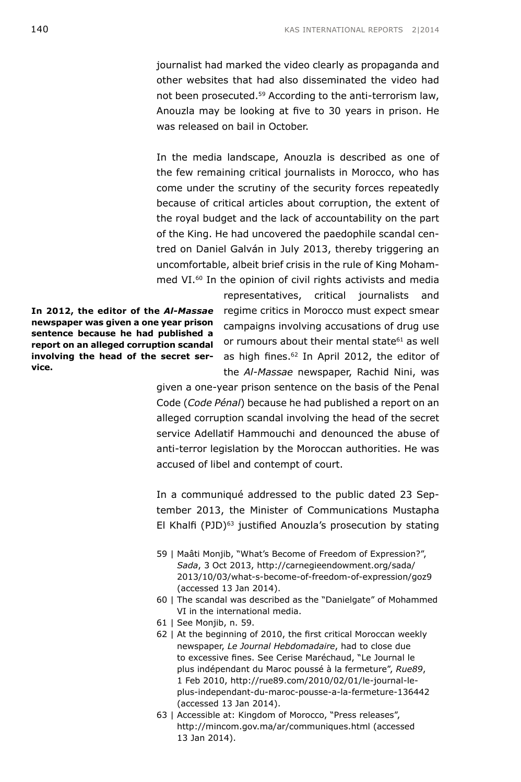journalist had marked the video clearly as propaganda and other websites that had also disseminated the video had not been prosecuted.59 According to the anti-terrorism law, Anouzla may be looking at five to 30 years in prison. He was released on bail in October.

In the media landscape, Anouzla is described as one of the few remaining critical journalists in Morocco, who has come under the scrutiny of the security forces repeatedly because of critical articles about corruption, the extent of the royal budget and the lack of accountability on the part of the King. He had uncovered the paedophile scandal centred on Daniel Galván in July 2013, thereby triggering an uncomfortable, albeit brief crisis in the rule of King Mohammed VI.<sup>60</sup> In the opinion of civil rights activists and media

**In 2012, the editor of the** *Al-Massae*  **newspaper was given a one year prison sentence because he had published a report on an alleged corruption scandal involving the head of the secret service.**

representatives, critical journalists and regime critics in Morocco must expect smear campaigns involving accusations of drug use or rumours about their mental state<sup>61</sup> as well as high fines.<sup>62</sup> In April 2012, the editor of the *Al-Massae* newspaper, Rachid Nini, was

given a one-year prison sentence on the basis of the Penal Code (*Code Pénal*) because he had published a report on an alleged corruption scandal involving the head of the secret service Adellatif Hammouchi and denounced the abuse of anti-terror legislation by the Moroccan authorities. He was accused of libel and contempt of court.

In a communiqué addressed to the public dated 23 September 2013, the Minister of Communications Mustapha El Khalfi (PJD)<sup>63</sup> justified Anouzla's prosecution by stating

- 59 | Maâti Monjib, "What's Become of Freedom of Expression?", *Sada*, 3 Oct 2013, [http://carnegieendowment.org/sada/](http://carnegieendowment.org/sada/2013/10/03/what-s-become-of-freedom-of-expression/goz9) [2013/10/03/what-s-become-of-freedom-of-expression/goz9](http://carnegieendowment.org/sada/2013/10/03/what-s-become-of-freedom-of-expression/goz9) (accessed 13 Jan 2014).
- 60 | The scandal was described as the "Danielgate" of Mohammed VI in the international media.
- 61 | See Monjib, n. 59.
- 62 | At the beginning of 2010, the first critical Moroccan weekly newspaper, *Le Journal Hebdomadaire*, had to close due to excessive fines. See Cerise Maréchaud, "Le Journal le plus indépendant du Maroc poussé à la fermeture", *Rue89*, 1 Feb 2010, [http://rue89.com/2010/02/01/le-journal-le](http://rue89.com/2010/02/01/le-journal-le-plus-independant-du-maroc-pousse-a-la-fermeture-136442)[plus-independant-du-maroc-pousse-a-la-fermeture-136442](http://rue89.com/2010/02/01/le-journal-le-plus-independant-du-maroc-pousse-a-la-fermeture-136442) (accessed 13 Jan 2014).
- 63 | Accessible at: Kingdom of Morocco, "Press releases", <http://mincom.gov.ma/ar/communiques.html> (accessed 13 Jan 2014).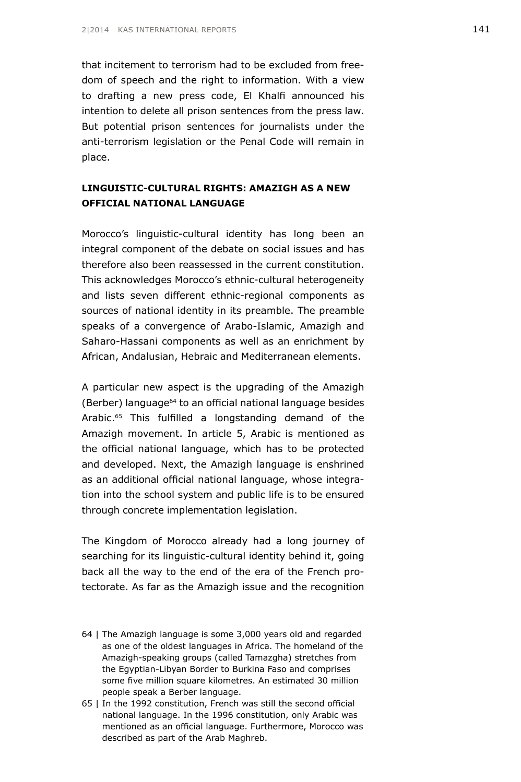that incitement to terrorism had to be excluded from freedom of speech and the right to information. With a view to drafting a new press code, El Khalfi announced his intention to delete all prison sentences from the press law. But potential prison sentences for journalists under the anti-terrorism legislation or the Penal Code will remain in place.

### **LINGUISTIC-CULTURAL RIGHTS: AMAZIGH AS A NEW OFFICIAL NATIONAL LANGUAGE**

Morocco's linguistic-cultural identity has long been an integral component of the debate on social issues and has therefore also been reassessed in the current constitution. This acknowledges Morocco's ethnic-cultural heterogeneity and lists seven different ethnic-regional components as sources of national identity in its preamble. The preamble speaks of a convergence of Arabo-Islamic, Amazigh and Saharo-Hassani components as well as an enrichment by African, Andalusian, Hebraic and Mediterranean elements.

A particular new aspect is the upgrading of the Amazigh (Berber) language64 to an official national language besides Arabic.<sup>65</sup> This fulfilled a longstanding demand of the Amazigh movement. In article 5, Arabic is mentioned as the official national language, which has to be protected and developed. Next, the Amazigh language is enshrined as an additional official national language, whose integration into the school system and public life is to be ensured through concrete implementation legislation.

The Kingdom of Morocco already had a long journey of searching for its linguistic-cultural identity behind it, going back all the way to the end of the era of the French protectorate. As far as the Amazigh issue and the recognition

- 64 | The Amazigh language is some 3,000 years old and regarded as one of the oldest languages in Africa. The homeland of the Amazigh-speaking groups (called Tamazgha) stretches from the Egyptian-Libyan Border to Burkina Faso and comprises some five million square kilometres. An estimated 30 million people speak a Berber language.
- 65 | In the 1992 constitution, French was still the second official national language. In the 1996 constitution, only Arabic was mentioned as an official language. Furthermore, Morocco was described as part of the Arab Maghreb.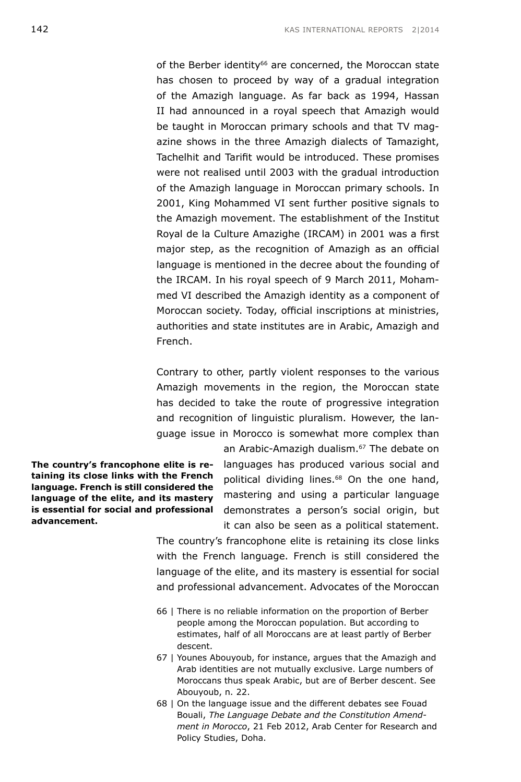of the Berber identity<sup>66</sup> are concerned, the Moroccan state has chosen to proceed by way of a gradual integration of the Amazigh language. As far back as 1994, Hassan II had announced in a royal speech that Amazigh would be taught in Moroccan primary schools and that TV magazine shows in the three Amazigh dialects of Tamazight, Tachelhit and Tarifit would be introduced. These promises were not realised until 2003 with the gradual introduction of the Amazigh language in Moroccan primary schools. In 2001, King Mohammed VI sent further positive signals to the Amazigh movement. The establishment of the Institut Royal de la Culture Amazighe (IRCAM) in 2001 was a first major step, as the recognition of Amazigh as an official language is mentioned in the decree about the founding of the IRCAM. In his royal speech of 9 March 2011, Mohammed VI described the Amazigh identity as a component of Moroccan society. Today, official inscriptions at ministries, authorities and state institutes are in Arabic, Amazigh and French.

Contrary to other, partly violent responses to the various Amazigh movements in the region, the Moroccan state has decided to take the route of progressive integration and recognition of linguistic pluralism. However, the language issue in Morocco is somewhat more complex than

**The country's francophone elite is retaining its close links with the French language. French is still considered the language of the elite, and its mastery is essential for social and professional advancement.**

an Arabic-Amazigh dualism.<sup>67</sup> The debate on languages has produced various social and political dividing lines.<sup>68</sup> On the one hand, mastering and using a particular language demonstrates a person's social origin, but it can also be seen as a political statement.

The country's francophone elite is retaining its close links with the French language. French is still considered the language of the elite, and its mastery is essential for social and professional advancement. Advocates of the Moroccan

- 66 | There is no reliable information on the proportion of Berber people among the Moroccan population. But according to estimates, half of all Moroccans are at least partly of Berber descent.
- 67 | Younes Abouyoub, for instance, argues that the Amazigh and Arab identities are not mutually exclusive. Large numbers of Moroccans thus speak Arabic, but are of Berber descent. See Abouyoub, n. 22.
- 68 | On the language issue and the different debates see Fouad Bouali, *The Language Debate and the Constitution Amendment in Morocco*, 21 Feb 2012, Arab Center for Research and Policy Studies, Doha.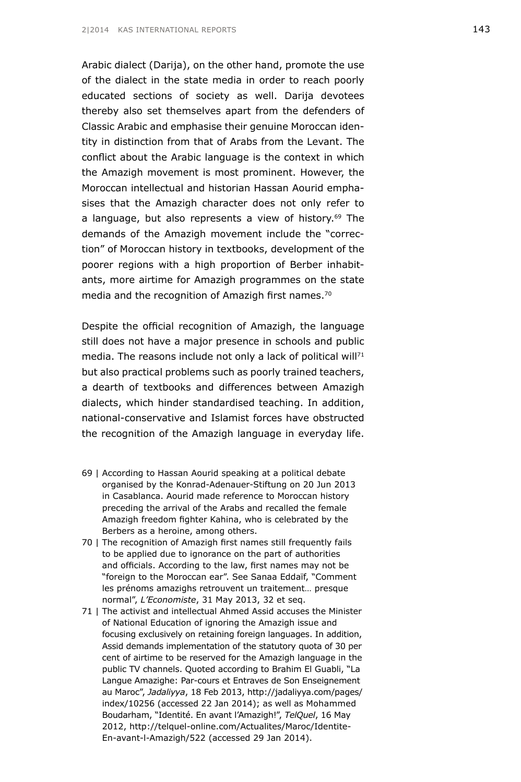Arabic dialect (Darija), on the other hand, promote the use of the dialect in the state media in order to reach poorly educated sections of society as well. Darija devotees thereby also set themselves apart from the defenders of Classic Arabic and emphasise their genuine Moroccan identity in distinction from that of Arabs from the Levant. The conflict about the Arabic language is the context in which the Amazigh movement is most prominent. However, the Moroccan intellectual and historian Hassan Aourid emphasises that the Amazigh character does not only refer to a language, but also represents a view of history.<sup>69</sup> The demands of the Amazigh movement include the "correction" of Moroccan history in textbooks, development of the poorer regions with a high proportion of Berber inhabitants, more airtime for Amazigh programmes on the state media and the recognition of Amazigh first names.<sup>70</sup>

Despite the official recognition of Amazigh, the language still does not have a major presence in schools and public media. The reasons include not only a lack of political will $71$ but also practical problems such as poorly trained teachers, a dearth of textbooks and differences between Amazigh dialects, which hinder standardised teaching. In addition, national-conservative and Islamist forces have obstructed the recognition of the Amazigh language in everyday life.

- 69 | According to Hassan Aourid speaking at a political debate organised by the Konrad-Adenauer-Stiftung on 20 Jun 2013 in Casablanca. Aourid made reference to Moroccan history preceding the arrival of the Arabs and recalled the female Amazigh freedom fighter Kahina, who is celebrated by the Berbers as a heroine, among others.
- 70 | The recognition of Amazigh first names still frequently fails to be applied due to ignorance on the part of authorities and officials. According to the law, first names may not be "foreign to the Moroccan ear". See Sanaa Eddaïf, "Comment les prénoms amazighs retrouvent un traitement… presque normal", *L'Economiste*, 31 May 2013, 32 et seq.
- 71 | The activist and intellectual Ahmed Assid accuses the Minister of National Education of ignoring the Amazigh issue and focusing exclusively on retaining foreign languages. In addition, Assid demands implementation of the statutory quota of 30 per cent of airtime to be reserved for the Amazigh language in the public TV channels. Quoted according to Brahim El Guabli, "La Langue Amazighe: Par-cours et Entraves de Son Enseignement au Maroc", *Jadaliyya*, 18 Feb 2013, [http://jadaliyya.com/pages/](http://jadaliyya.com/pages/index/10256) [index/10256](http://jadaliyya.com/pages/index/10256) (accessed 22 Jan 2014); as well as Mohammed Boudarham, "Identité. En avant l'Amazigh!", *TelQuel*, 16 May 2012, [http://telquel-online.com/Actualites/Maroc/Identite-](http://telquel-online.com/Actualites/Maroc/Identite-En-avant-l-Amazigh/522)[En-avant-l-Amazigh/522](http://telquel-online.com/Actualites/Maroc/Identite-En-avant-l-Amazigh/522) (accessed 29 Jan 2014).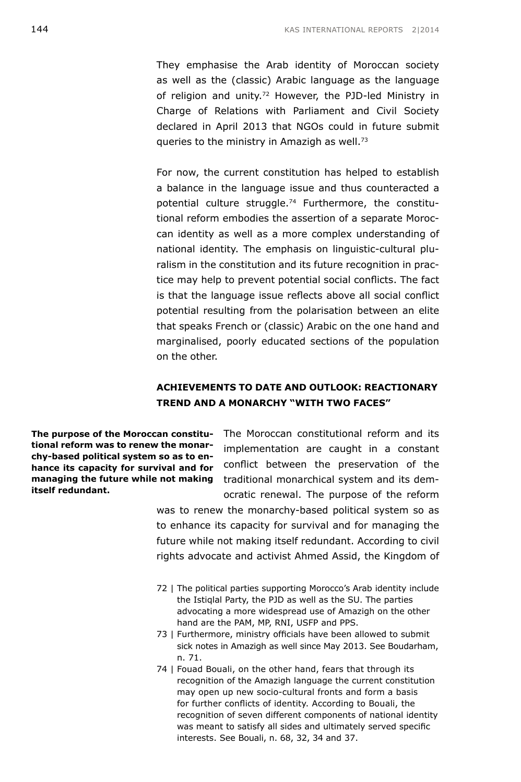They emphasise the Arab identity of Moroccan society as well as the (classic) Arabic language as the language of religion and unity.<sup>72</sup> However, the PJD-led Ministry in Charge of Relations with Parliament and Civil Society declared in April 2013 that NGOs could in future submit queries to the ministry in Amazigh as well.<sup>73</sup>

For now, the current constitution has helped to establish a balance in the language issue and thus counteracted a potential culture struggle.<sup>74</sup> Furthermore, the constitutional reform embodies the assertion of a separate Moroccan identity as well as a more complex understanding of national identity. The emphasis on linguistic-cultural pluralism in the constitution and its future recognition in practice may help to prevent potential social conflicts. The fact is that the language issue reflects above all social conflict potential resulting from the polarisation between an elite that speaks French or (classic) Arabic on the one hand and marginalised, poorly educated sections of the population on the other.

### **ACHIEVEMENTS TO DATE AND OUTLOOK: REACTIONARY TREND AND A MONARCHY "WITH TWO FACES"**

**tional reform was to renew the monarchy-based political system so as to enhance its capacity for survival and for itself redundant.**

**The purpose of the Moroccan constitu-** The Moroccan constitutional reform and its **managing the future while not making**  traditional monarchical system and its demimplementation are caught in a constant conflict between the preservation of the ocratic renewal. The purpose of the reform

> was to renew the monarchy-based political system so as to enhance its capacity for survival and for managing the future while not making itself redundant. According to civil rights advocate and activist Ahmed Assid, the Kingdom of

- 72 | The political parties supporting Morocco's Arab identity include the Istiqlal Party, the PJD as well as the SU. The parties advocating a more widespread use of Amazigh on the other hand are the PAM, MP, RNI, USFP and PPS.
- 73 | Furthermore, ministry officials have been allowed to submit sick notes in Amazigh as well since May 2013. See Boudarham, n. 71.
- 74 | Fouad Bouali, on the other hand, fears that through its recognition of the Amazigh language the current constitution may open up new socio-cultural fronts and form a basis for further conflicts of identity. According to Bouali, the recognition of seven different components of national identity was meant to satisfy all sides and ultimately served specific interests. See Bouali, n. 68, 32, 34 and 37.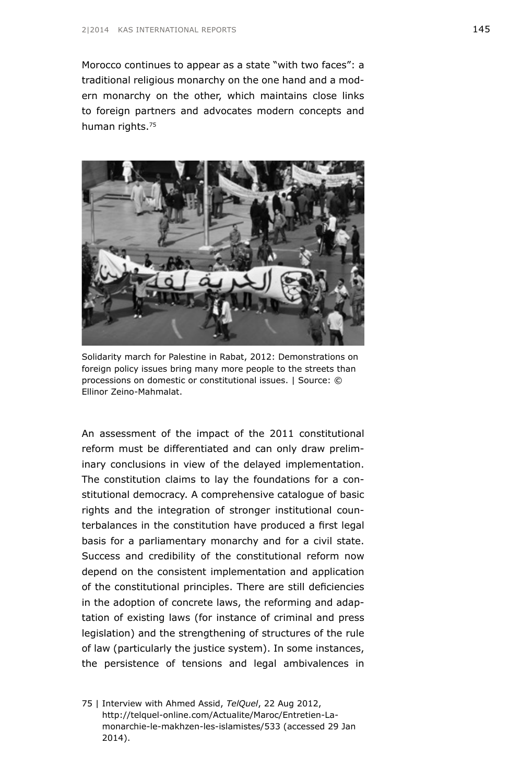Morocco continues to appear as a state "with two faces": a traditional religious monarchy on the one hand and a modern monarchy on the other, which maintains close links to foreign partners and advocates modern concepts and human rights.<sup>75</sup>



Solidarity march for Palestine in Rabat, 2012: Demonstrations on foreign policy issues bring many more people to the streets than processions on domestic or constitutional issues. | Source: © Ellinor Zeino-Mahmalat.

An assessment of the impact of the 2011 constitutional reform must be differentiated and can only draw preliminary conclusions in view of the delayed implementation. The constitution claims to lay the foundations for a constitutional democracy. A comprehensive catalogue of basic rights and the integration of stronger institutional counterbalances in the constitution have produced a first legal basis for a parliamentary monarchy and for a civil state. Success and credibility of the constitutional reform now depend on the consistent implementation and application of the constitutional principles. There are still deficiencies in the adoption of concrete laws, the reforming and adaptation of existing laws (for instance of criminal and press legislation) and the strengthening of structures of the rule of law (particularly the justice system). In some instances, the persistence of tensions and legal ambivalences in

<sup>75 |</sup> Interview with Ahmed Assid, *TelQuel*, 22 Aug 2012, [http://telquel-online.com/Actualite/Maroc/Entretien-La](http://telquel-online.com/Actualite/Maroc/Entretien-La-monarchie-le-makhzen-les-islamistes/533)[monarchie-le-makhzen-les-islamistes/533](http://telquel-online.com/Actualite/Maroc/Entretien-La-monarchie-le-makhzen-les-islamistes/533) (accessed 29 Jan 2014).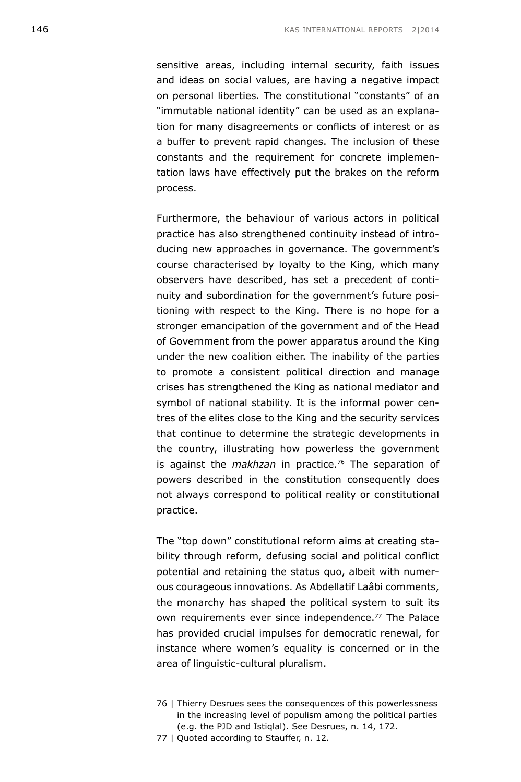sensitive areas, including internal security, faith issues and ideas on social values, are having a negative impact on personal liberties. The constitutional "constants" of an "immutable national identity" can be used as an explanation for many disagreements or conflicts of interest or as a buffer to prevent rapid changes. The inclusion of these constants and the requirement for concrete implementation laws have effectively put the brakes on the reform process.

Furthermore, the behaviour of various actors in political practice has also strengthened continuity instead of introducing new approaches in governance. The government's course characterised by loyalty to the King, which many observers have described, has set a precedent of continuity and subordination for the government's future positioning with respect to the King. There is no hope for a stronger emancipation of the government and of the Head of Government from the power apparatus around the King under the new coalition either. The inability of the parties to promote a consistent political direction and manage crises has strengthened the King as national mediator and symbol of national stability. It is the informal power centres of the elites close to the King and the security services that continue to determine the strategic developments in the country, illustrating how powerless the government is against the *makhzan* in practice.<sup>76</sup> The separation of powers described in the constitution consequently does not always correspond to political reality or constitutional practice.

The "top down" constitutional reform aims at creating stability through reform, defusing social and political conflict potential and retaining the status quo, albeit with numerous courageous innovations. As Abdellatif Laâbi comments, the monarchy has shaped the political system to suit its own requirements ever since independence.<sup>77</sup> The Palace has provided crucial impulses for democratic renewal, for instance where women's equality is concerned or in the area of linguistic-cultural pluralism.

- 76 | Thierry Desrues sees the consequences of this powerlessness in the increasing level of populism among the political parties (e.g. the PJD and Istiqlal). See Desrues, n. 14, 172.
- 77 | Quoted according to Stauffer, n. 12.